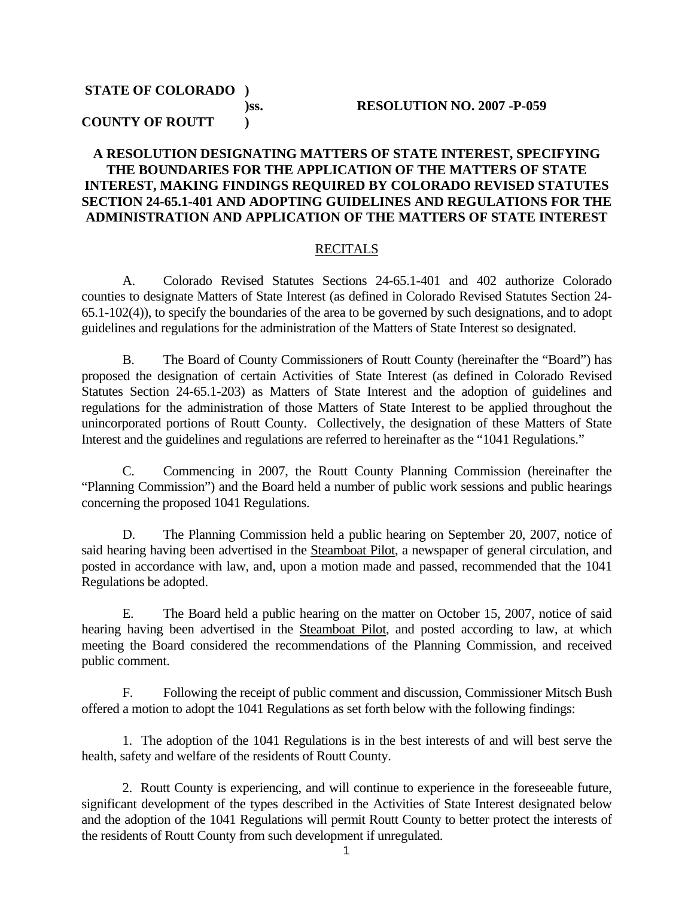# **STATE OF COLORADO )**

#### **)ss. RESOLUTION NO. 2007 -P-059**

#### **COUNTY OF ROUTT )**

#### **A RESOLUTION DESIGNATING MATTERS OF STATE INTEREST, SPECIFYING THE BOUNDARIES FOR THE APPLICATION OF THE MATTERS OF STATE INTEREST, MAKING FINDINGS REQUIRED BY COLORADO REVISED STATUTES SECTION 24-65.1-401 AND ADOPTING GUIDELINES AND REGULATIONS FOR THE ADMINISTRATION AND APPLICATION OF THE MATTERS OF STATE INTEREST**

#### RECITALS

 A. Colorado Revised Statutes Sections 24-65.1-401 and 402 authorize Colorado counties to designate Matters of State Interest (as defined in Colorado Revised Statutes Section 24- 65.1-102(4)), to specify the boundaries of the area to be governed by such designations, and to adopt guidelines and regulations for the administration of the Matters of State Interest so designated.

 B. The Board of County Commissioners of Routt County (hereinafter the "Board") has proposed the designation of certain Activities of State Interest (as defined in Colorado Revised Statutes Section 24-65.1-203) as Matters of State Interest and the adoption of guidelines and regulations for the administration of those Matters of State Interest to be applied throughout the unincorporated portions of Routt County. Collectively, the designation of these Matters of State Interest and the guidelines and regulations are referred to hereinafter as the "1041 Regulations."

 C. Commencing in 2007, the Routt County Planning Commission (hereinafter the "Planning Commission") and the Board held a number of public work sessions and public hearings concerning the proposed 1041 Regulations.

 D. The Planning Commission held a public hearing on September 20, 2007, notice of said hearing having been advertised in the Steamboat Pilot, a newspaper of general circulation, and posted in accordance with law, and, upon a motion made and passed, recommended that the 1041 Regulations be adopted.

 E. The Board held a public hearing on the matter on October 15, 2007, notice of said hearing having been advertised in the **Steamboat Pilot**, and posted according to law, at which meeting the Board considered the recommendations of the Planning Commission, and received public comment.

 F. Following the receipt of public comment and discussion, Commissioner Mitsch Bush offered a motion to adopt the 1041 Regulations as set forth below with the following findings:

 1. The adoption of the 1041 Regulations is in the best interests of and will best serve the health, safety and welfare of the residents of Routt County.

 2. Routt County is experiencing, and will continue to experience in the foreseeable future, significant development of the types described in the Activities of State Interest designated below and the adoption of the 1041 Regulations will permit Routt County to better protect the interests of the residents of Routt County from such development if unregulated.

1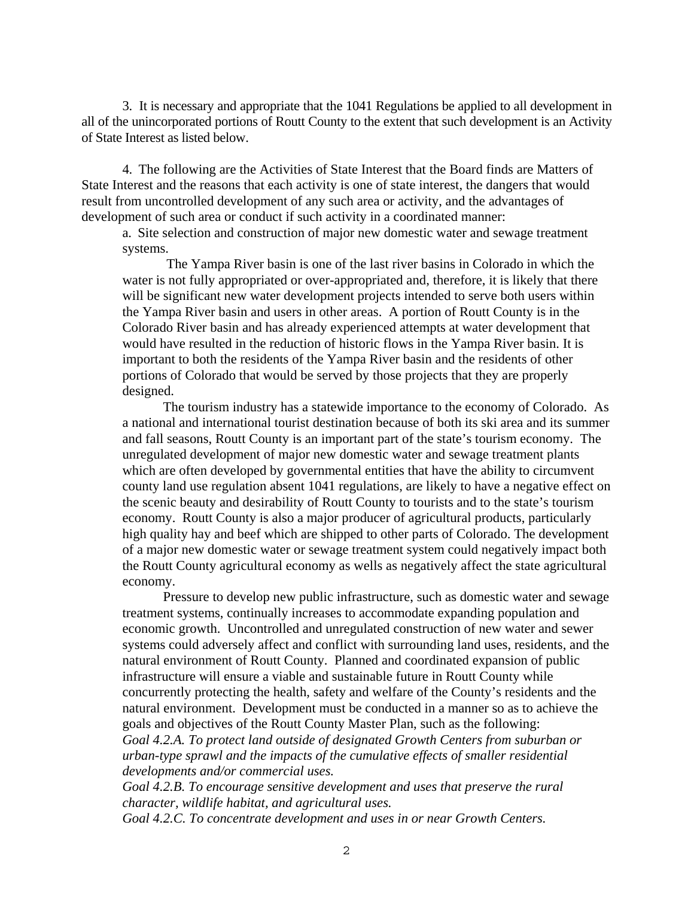3. It is necessary and appropriate that the 1041 Regulations be applied to all development in all of the unincorporated portions of Routt County to the extent that such development is an Activity of State Interest as listed below.

4. The following are the Activities of State Interest that the Board finds are Matters of State Interest and the reasons that each activity is one of state interest, the dangers that would result from uncontrolled development of any such area or activity, and the advantages of development of such area or conduct if such activity in a coordinated manner:

 a. Site selection and construction of major new domestic water and sewage treatment systems.

 The Yampa River basin is one of the last river basins in Colorado in which the water is not fully appropriated or over-appropriated and, therefore, it is likely that there will be significant new water development projects intended to serve both users within the Yampa River basin and users in other areas. A portion of Routt County is in the Colorado River basin and has already experienced attempts at water development that would have resulted in the reduction of historic flows in the Yampa River basin. It is important to both the residents of the Yampa River basin and the residents of other portions of Colorado that would be served by those projects that they are properly designed.

 The tourism industry has a statewide importance to the economy of Colorado. As a national and international tourist destination because of both its ski area and its summer and fall seasons, Routt County is an important part of the state's tourism economy. The unregulated development of major new domestic water and sewage treatment plants which are often developed by governmental entities that have the ability to circumvent county land use regulation absent 1041 regulations, are likely to have a negative effect on the scenic beauty and desirability of Routt County to tourists and to the state's tourism economy. Routt County is also a major producer of agricultural products, particularly high quality hay and beef which are shipped to other parts of Colorado. The development of a major new domestic water or sewage treatment system could negatively impact both the Routt County agricultural economy as wells as negatively affect the state agricultural economy.

 Pressure to develop new public infrastructure, such as domestic water and sewage treatment systems, continually increases to accommodate expanding population and economic growth. Uncontrolled and unregulated construction of new water and sewer systems could adversely affect and conflict with surrounding land uses, residents, and the natural environment of Routt County. Planned and coordinated expansion of public infrastructure will ensure a viable and sustainable future in Routt County while concurrently protecting the health, safety and welfare of the County's residents and the natural environment. Development must be conducted in a manner so as to achieve the goals and objectives of the Routt County Master Plan, such as the following: *Goal 4.2.A. To protect land outside of designated Growth Centers from suburban or urban-type sprawl and the impacts of the cumulative effects of smaller residential developments and/or commercial uses.* 

*Goal 4.2.B. To encourage sensitive development and uses that preserve the rural character, wildlife habitat, and agricultural uses.* 

*Goal 4.2.C. To concentrate development and uses in or near Growth Centers.*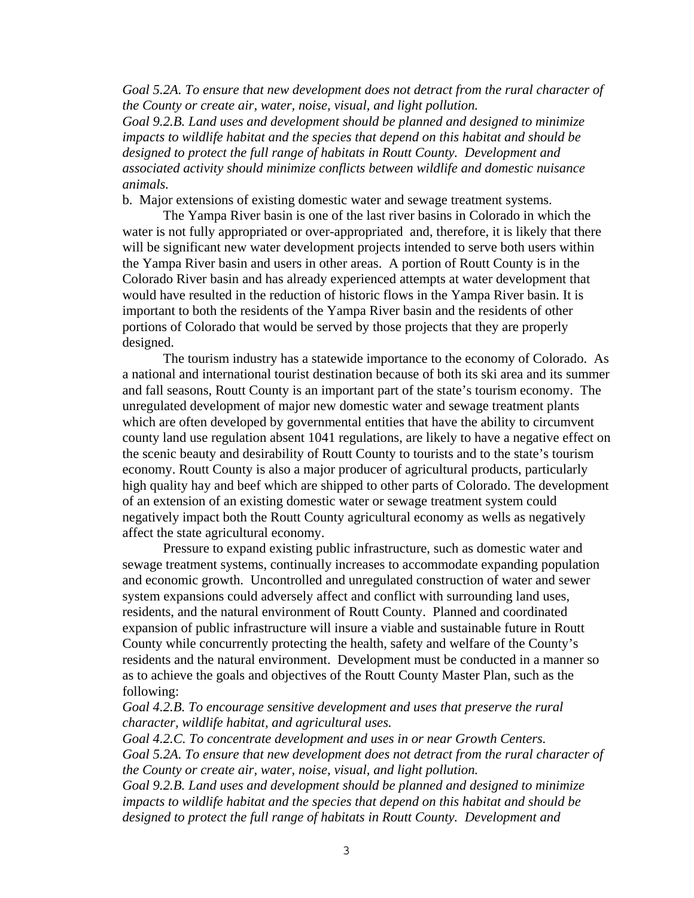*Goal 5.2A. To ensure that new development does not detract from the rural character of the County or create air, water, noise, visual, and light pollution.* 

*Goal 9.2.B. Land uses and development should be planned and designed to minimize impacts to wildlife habitat and the species that depend on this habitat and should be designed to protect the full range of habitats in Routt County. Development and associated activity should minimize conflicts between wildlife and domestic nuisance animals.* 

b. Major extensions of existing domestic water and sewage treatment systems.

 The Yampa River basin is one of the last river basins in Colorado in which the water is not fully appropriated or over-appropriated and, therefore, it is likely that there will be significant new water development projects intended to serve both users within the Yampa River basin and users in other areas. A portion of Routt County is in the Colorado River basin and has already experienced attempts at water development that would have resulted in the reduction of historic flows in the Yampa River basin. It is important to both the residents of the Yampa River basin and the residents of other portions of Colorado that would be served by those projects that they are properly designed.

 The tourism industry has a statewide importance to the economy of Colorado. As a national and international tourist destination because of both its ski area and its summer and fall seasons, Routt County is an important part of the state's tourism economy. The unregulated development of major new domestic water and sewage treatment plants which are often developed by governmental entities that have the ability to circumvent county land use regulation absent 1041 regulations, are likely to have a negative effect on the scenic beauty and desirability of Routt County to tourists and to the state's tourism economy. Routt County is also a major producer of agricultural products, particularly high quality hay and beef which are shipped to other parts of Colorado. The development of an extension of an existing domestic water or sewage treatment system could negatively impact both the Routt County agricultural economy as wells as negatively affect the state agricultural economy.

 Pressure to expand existing public infrastructure, such as domestic water and sewage treatment systems, continually increases to accommodate expanding population and economic growth. Uncontrolled and unregulated construction of water and sewer system expansions could adversely affect and conflict with surrounding land uses, residents, and the natural environment of Routt County. Planned and coordinated expansion of public infrastructure will insure a viable and sustainable future in Routt County while concurrently protecting the health, safety and welfare of the County's residents and the natural environment. Development must be conducted in a manner so as to achieve the goals and objectives of the Routt County Master Plan, such as the following:

*Goal 4.2.B. To encourage sensitive development and uses that preserve the rural character, wildlife habitat, and agricultural uses.* 

*Goal 4.2.C. To concentrate development and uses in or near Growth Centers. Goal 5.2A. To ensure that new development does not detract from the rural character of the County or create air, water, noise, visual, and light pollution.* 

*Goal 9.2.B. Land uses and development should be planned and designed to minimize impacts to wildlife habitat and the species that depend on this habitat and should be designed to protect the full range of habitats in Routt County. Development and*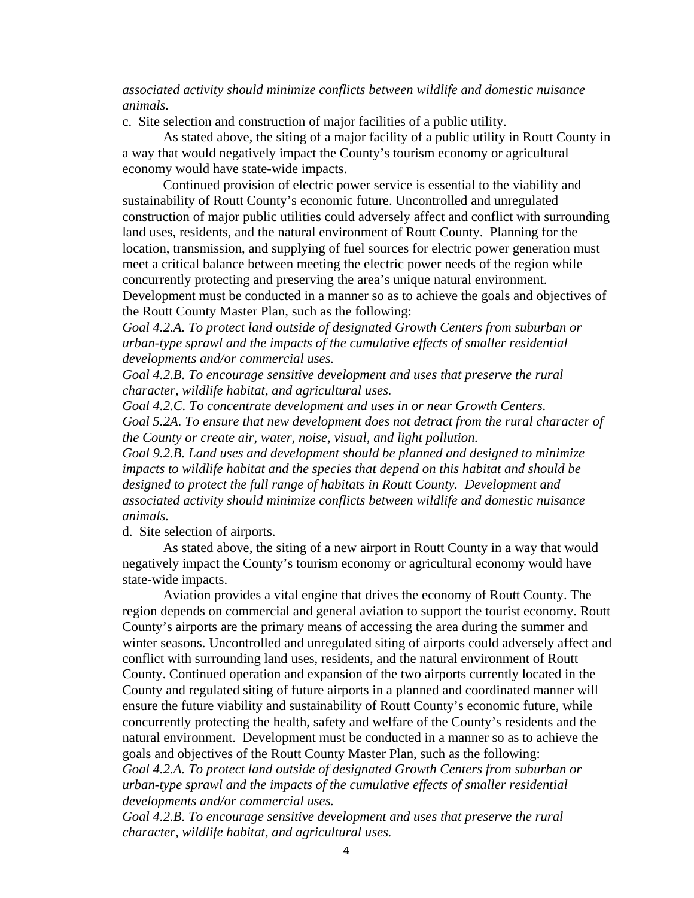#### *associated activity should minimize conflicts between wildlife and domestic nuisance animals.*

c. Site selection and construction of major facilities of a public utility.

 As stated above, the siting of a major facility of a public utility in Routt County in a way that would negatively impact the County's tourism economy or agricultural economy would have state-wide impacts.

 Continued provision of electric power service is essential to the viability and sustainability of Routt County's economic future. Uncontrolled and unregulated construction of major public utilities could adversely affect and conflict with surrounding land uses, residents, and the natural environment of Routt County. Planning for the location, transmission, and supplying of fuel sources for electric power generation must meet a critical balance between meeting the electric power needs of the region while concurrently protecting and preserving the area's unique natural environment. Development must be conducted in a manner so as to achieve the goals and objectives of the Routt County Master Plan, such as the following:

*Goal 4.2.A. To protect land outside of designated Growth Centers from suburban or urban-type sprawl and the impacts of the cumulative effects of smaller residential developments and/or commercial uses.* 

*Goal 4.2.B. To encourage sensitive development and uses that preserve the rural character, wildlife habitat, and agricultural uses.* 

*Goal 4.2.C. To concentrate development and uses in or near Growth Centers. Goal 5.2A. To ensure that new development does not detract from the rural character of the County or create air, water, noise, visual, and light pollution.* 

*Goal 9.2.B. Land uses and development should be planned and designed to minimize impacts to wildlife habitat and the species that depend on this habitat and should be designed to protect the full range of habitats in Routt County. Development and associated activity should minimize conflicts between wildlife and domestic nuisance animals.* 

d. Site selection of airports.

 As stated above, the siting of a new airport in Routt County in a way that would negatively impact the County's tourism economy or agricultural economy would have state-wide impacts.

 Aviation provides a vital engine that drives the economy of Routt County. The region depends on commercial and general aviation to support the tourist economy. Routt County's airports are the primary means of accessing the area during the summer and winter seasons. Uncontrolled and unregulated siting of airports could adversely affect and conflict with surrounding land uses, residents, and the natural environment of Routt County. Continued operation and expansion of the two airports currently located in the County and regulated siting of future airports in a planned and coordinated manner will ensure the future viability and sustainability of Routt County's economic future, while concurrently protecting the health, safety and welfare of the County's residents and the natural environment. Development must be conducted in a manner so as to achieve the goals and objectives of the Routt County Master Plan, such as the following:

*Goal 4.2.A. To protect land outside of designated Growth Centers from suburban or urban-type sprawl and the impacts of the cumulative effects of smaller residential developments and/or commercial uses.* 

*Goal 4.2.B. To encourage sensitive development and uses that preserve the rural character, wildlife habitat, and agricultural uses.*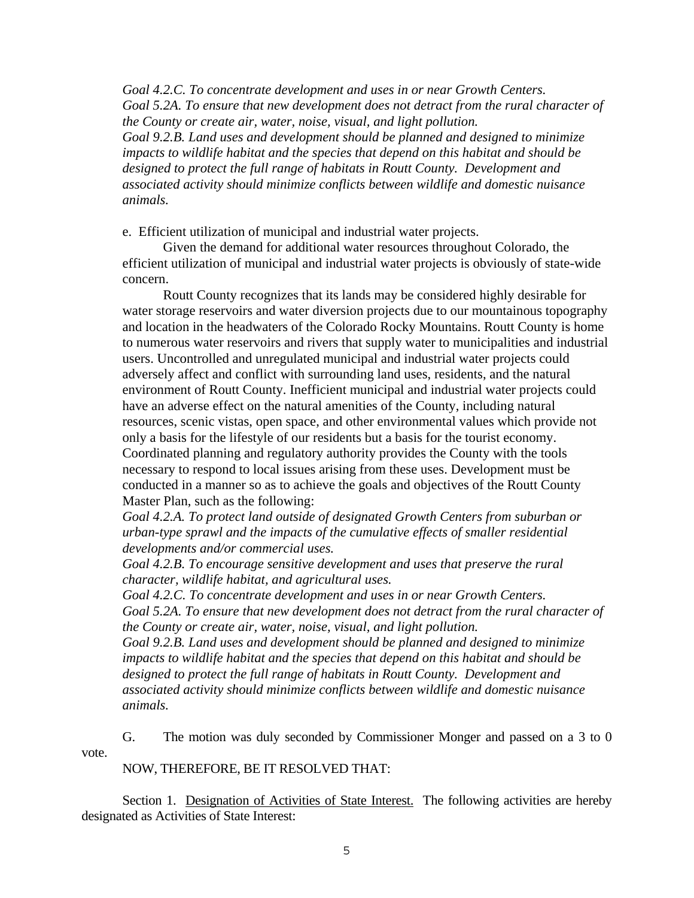*Goal 4.2.C. To concentrate development and uses in or near Growth Centers. Goal 5.2A. To ensure that new development does not detract from the rural character of the County or create air, water, noise, visual, and light pollution.* 

*Goal 9.2.B. Land uses and development should be planned and designed to minimize impacts to wildlife habitat and the species that depend on this habitat and should be designed to protect the full range of habitats in Routt County. Development and associated activity should minimize conflicts between wildlife and domestic nuisance animals.* 

e. Efficient utilization of municipal and industrial water projects.

 Given the demand for additional water resources throughout Colorado, the efficient utilization of municipal and industrial water projects is obviously of state-wide concern.

 Routt County recognizes that its lands may be considered highly desirable for water storage reservoirs and water diversion projects due to our mountainous topography and location in the headwaters of the Colorado Rocky Mountains. Routt County is home to numerous water reservoirs and rivers that supply water to municipalities and industrial users. Uncontrolled and unregulated municipal and industrial water projects could adversely affect and conflict with surrounding land uses, residents, and the natural environment of Routt County. Inefficient municipal and industrial water projects could have an adverse effect on the natural amenities of the County, including natural resources, scenic vistas, open space, and other environmental values which provide not only a basis for the lifestyle of our residents but a basis for the tourist economy. Coordinated planning and regulatory authority provides the County with the tools necessary to respond to local issues arising from these uses. Development must be conducted in a manner so as to achieve the goals and objectives of the Routt County Master Plan, such as the following:

*Goal 4.2.A. To protect land outside of designated Growth Centers from suburban or urban-type sprawl and the impacts of the cumulative effects of smaller residential developments and/or commercial uses.* 

*Goal 4.2.B. To encourage sensitive development and uses that preserve the rural character, wildlife habitat, and agricultural uses.* 

*Goal 4.2.C. To concentrate development and uses in or near Growth Centers. Goal 5.2A. To ensure that new development does not detract from the rural character of the County or create air, water, noise, visual, and light pollution.* 

*Goal 9.2.B. Land uses and development should be planned and designed to minimize impacts to wildlife habitat and the species that depend on this habitat and should be designed to protect the full range of habitats in Routt County. Development and associated activity should minimize conflicts between wildlife and domestic nuisance animals.* 

 G. The motion was duly seconded by Commissioner Monger and passed on a 3 to 0 vote.

NOW, THEREFORE, BE IT RESOLVED THAT:

 Section 1. Designation of Activities of State Interest. The following activities are hereby designated as Activities of State Interest: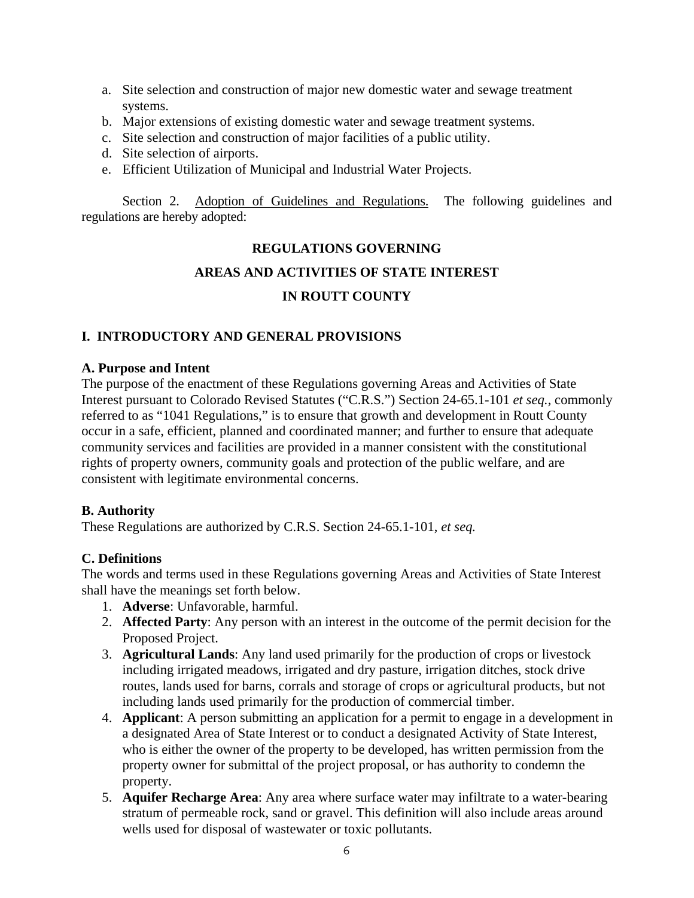- a. Site selection and construction of major new domestic water and sewage treatment systems.
- b. Major extensions of existing domestic water and sewage treatment systems.
- c. Site selection and construction of major facilities of a public utility.
- d. Site selection of airports.
- e. Efficient Utilization of Municipal and Industrial Water Projects.

 Section 2. Adoption of Guidelines and Regulations. The following guidelines and regulations are hereby adopted:

## **REGULATIONS GOVERNING**

# **AREAS AND ACTIVITIES OF STATE INTEREST**

## **IN ROUTT COUNTY**

#### **I. INTRODUCTORY AND GENERAL PROVISIONS**

#### **A. Purpose and Intent**

The purpose of the enactment of these Regulations governing Areas and Activities of State Interest pursuant to Colorado Revised Statutes ("C.R.S.") Section 24-65.1-101 *et seq.*, commonly referred to as "1041 Regulations," is to ensure that growth and development in Routt County occur in a safe, efficient, planned and coordinated manner; and further to ensure that adequate community services and facilities are provided in a manner consistent with the constitutional rights of property owners, community goals and protection of the public welfare, and are consistent with legitimate environmental concerns.

#### **B. Authority**

These Regulations are authorized by C.R.S. Section 24-65.1-101, *et seq.*

#### **C. Definitions**

The words and terms used in these Regulations governing Areas and Activities of State Interest shall have the meanings set forth below.

- 1. **Adverse**: Unfavorable, harmful.
- 2. **Affected Party**: Any person with an interest in the outcome of the permit decision for the Proposed Project.
- 3. **Agricultural Lands**: Any land used primarily for the production of crops or livestock including irrigated meadows, irrigated and dry pasture, irrigation ditches, stock drive routes, lands used for barns, corrals and storage of crops or agricultural products, but not including lands used primarily for the production of commercial timber.
- 4. **Applicant**: A person submitting an application for a permit to engage in a development in a designated Area of State Interest or to conduct a designated Activity of State Interest, who is either the owner of the property to be developed, has written permission from the property owner for submittal of the project proposal, or has authority to condemn the property.
- 5. **Aquifer Recharge Area**: Any area where surface water may infiltrate to a water-bearing stratum of permeable rock, sand or gravel. This definition will also include areas around wells used for disposal of wastewater or toxic pollutants.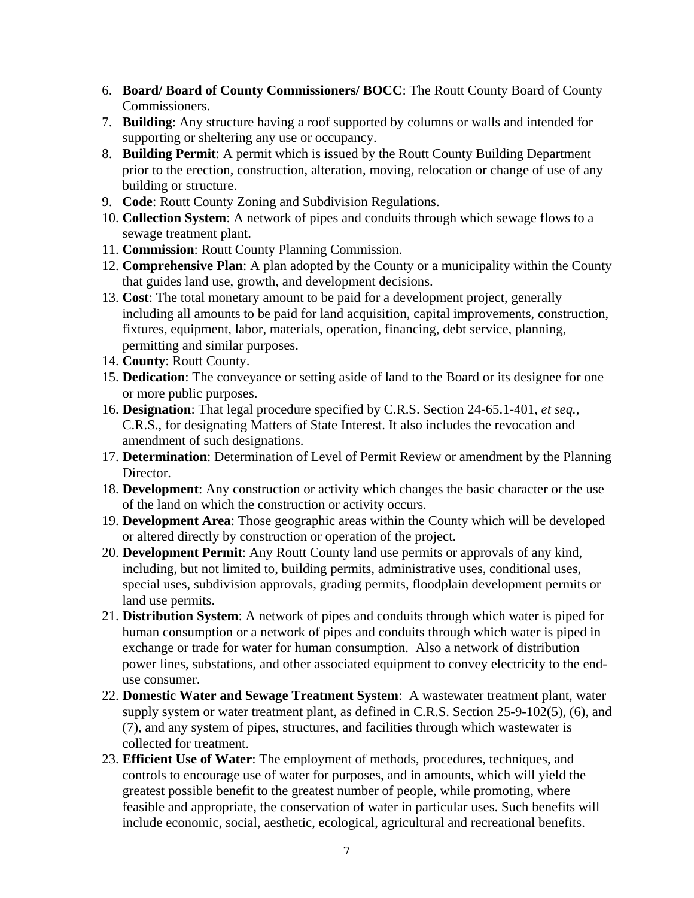- 6. **Board/ Board of County Commissioners/ BOCC**: The Routt County Board of County Commissioners.
- 7. **Building**: Any structure having a roof supported by columns or walls and intended for supporting or sheltering any use or occupancy.
- 8. **Building Permit**: A permit which is issued by the Routt County Building Department prior to the erection, construction, alteration, moving, relocation or change of use of any building or structure.
- 9. **Code**: Routt County Zoning and Subdivision Regulations.
- 10. **Collection System**: A network of pipes and conduits through which sewage flows to a sewage treatment plant.
- 11. **Commission**: Routt County Planning Commission.
- 12. **Comprehensive Plan**: A plan adopted by the County or a municipality within the County that guides land use, growth, and development decisions.
- 13. **Cost**: The total monetary amount to be paid for a development project, generally including all amounts to be paid for land acquisition, capital improvements, construction, fixtures, equipment, labor, materials, operation, financing, debt service, planning, permitting and similar purposes.
- 14. **County**: Routt County.
- 15. **Dedication**: The conveyance or setting aside of land to the Board or its designee for one or more public purposes.
- 16. **Designation**: That legal procedure specified by C.R.S. Section 24-65.1-401, *et seq.*, C.R.S., for designating Matters of State Interest. It also includes the revocation and amendment of such designations.
- 17. **Determination**: Determination of Level of Permit Review or amendment by the Planning Director.
- 18. **Development**: Any construction or activity which changes the basic character or the use of the land on which the construction or activity occurs.
- 19. **Development Area**: Those geographic areas within the County which will be developed or altered directly by construction or operation of the project.
- 20. **Development Permit**: Any Routt County land use permits or approvals of any kind, including, but not limited to, building permits, administrative uses, conditional uses, special uses, subdivision approvals, grading permits, floodplain development permits or land use permits.
- 21. **Distribution System**: A network of pipes and conduits through which water is piped for human consumption or a network of pipes and conduits through which water is piped in exchange or trade for water for human consumption. Also a network of distribution power lines, substations, and other associated equipment to convey electricity to the enduse consumer.
- 22. **Domestic Water and Sewage Treatment System**: A wastewater treatment plant, water supply system or water treatment plant, as defined in C.R.S. Section 25-9-102(5), (6), and (7), and any system of pipes, structures, and facilities through which wastewater is collected for treatment.
- 23. **Efficient Use of Water**: The employment of methods, procedures, techniques, and controls to encourage use of water for purposes, and in amounts, which will yield the greatest possible benefit to the greatest number of people, while promoting, where feasible and appropriate, the conservation of water in particular uses. Such benefits will include economic, social, aesthetic, ecological, agricultural and recreational benefits.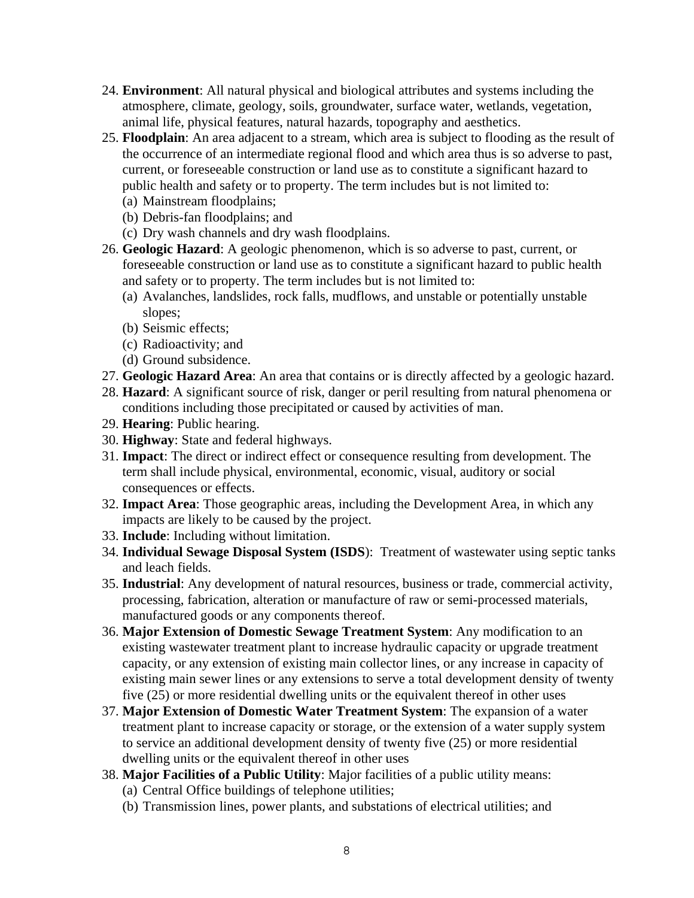- 24. **Environment**: All natural physical and biological attributes and systems including the atmosphere, climate, geology, soils, groundwater, surface water, wetlands, vegetation, animal life, physical features, natural hazards, topography and aesthetics.
- 25. **Floodplain**: An area adjacent to a stream, which area is subject to flooding as the result of the occurrence of an intermediate regional flood and which area thus is so adverse to past, current, or foreseeable construction or land use as to constitute a significant hazard to public health and safety or to property. The term includes but is not limited to:
	- (a) Mainstream floodplains;
	- (b) Debris-fan floodplains; and
	- (c) Dry wash channels and dry wash floodplains.
- 26. **Geologic Hazard**: A geologic phenomenon, which is so adverse to past, current, or foreseeable construction or land use as to constitute a significant hazard to public health and safety or to property. The term includes but is not limited to:
	- (a) Avalanches, landslides, rock falls, mudflows, and unstable or potentially unstable slopes;
	- (b) Seismic effects;
	- (c) Radioactivity; and
	- (d) Ground subsidence.
- 27. **Geologic Hazard Area**: An area that contains or is directly affected by a geologic hazard.
- 28. **Hazard**: A significant source of risk, danger or peril resulting from natural phenomena or conditions including those precipitated or caused by activities of man.
- 29. **Hearing**: Public hearing.
- 30. **Highway**: State and federal highways.
- 31. **Impact**: The direct or indirect effect or consequence resulting from development. The term shall include physical, environmental, economic, visual, auditory or social consequences or effects.
- 32. **Impact Area**: Those geographic areas, including the Development Area, in which any impacts are likely to be caused by the project.
- 33. **Include**: Including without limitation.
- 34. **Individual Sewage Disposal System (ISDS**): Treatment of wastewater using septic tanks and leach fields.
- 35. **Industrial**: Any development of natural resources, business or trade, commercial activity, processing, fabrication, alteration or manufacture of raw or semi-processed materials, manufactured goods or any components thereof.
- 36. **Major Extension of Domestic Sewage Treatment System**: Any modification to an existing wastewater treatment plant to increase hydraulic capacity or upgrade treatment capacity, or any extension of existing main collector lines, or any increase in capacity of existing main sewer lines or any extensions to serve a total development density of twenty five (25) or more residential dwelling units or the equivalent thereof in other uses
- 37. **Major Extension of Domestic Water Treatment System**: The expansion of a water treatment plant to increase capacity or storage, or the extension of a water supply system to service an additional development density of twenty five (25) or more residential dwelling units or the equivalent thereof in other uses
- 38. **Major Facilities of a Public Utility**: Major facilities of a public utility means: (a) Central Office buildings of telephone utilities;
	- (b) Transmission lines, power plants, and substations of electrical utilities; and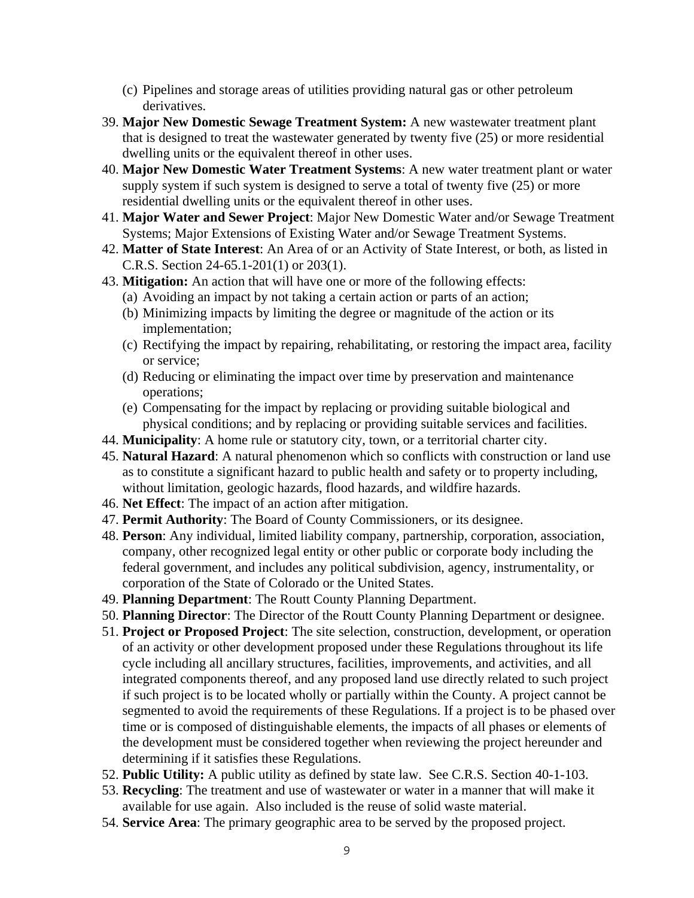- (c) Pipelines and storage areas of utilities providing natural gas or other petroleum derivatives.
- 39. **Major New Domestic Sewage Treatment System:** A new wastewater treatment plant that is designed to treat the wastewater generated by twenty five (25) or more residential dwelling units or the equivalent thereof in other uses.
- 40. **Major New Domestic Water Treatment Systems**: A new water treatment plant or water supply system if such system is designed to serve a total of twenty five (25) or more residential dwelling units or the equivalent thereof in other uses.
- 41. **Major Water and Sewer Project**: Major New Domestic Water and/or Sewage Treatment Systems; Major Extensions of Existing Water and/or Sewage Treatment Systems.
- 42. **Matter of State Interest**: An Area of or an Activity of State Interest, or both, as listed in C.R.S. Section 24-65.1-201(1) or 203(1).
- 43. **Mitigation:** An action that will have one or more of the following effects:
	- (a) Avoiding an impact by not taking a certain action or parts of an action;
	- (b) Minimizing impacts by limiting the degree or magnitude of the action or its implementation;
	- (c) Rectifying the impact by repairing, rehabilitating, or restoring the impact area, facility or service;
	- (d) Reducing or eliminating the impact over time by preservation and maintenance operations;
	- (e) Compensating for the impact by replacing or providing suitable biological and physical conditions; and by replacing or providing suitable services and facilities.
- 44. **Municipality**: A home rule or statutory city, town, or a territorial charter city.
- 45. **Natural Hazard**: A natural phenomenon which so conflicts with construction or land use as to constitute a significant hazard to public health and safety or to property including, without limitation, geologic hazards, flood hazards, and wildfire hazards.
- 46. **Net Effect**: The impact of an action after mitigation.
- 47. **Permit Authority**: The Board of County Commissioners, or its designee.
- 48. **Person**: Any individual, limited liability company, partnership, corporation, association, company, other recognized legal entity or other public or corporate body including the federal government, and includes any political subdivision, agency, instrumentality, or corporation of the State of Colorado or the United States.
- 49. **Planning Department**: The Routt County Planning Department.
- 50. **Planning Director**: The Director of the Routt County Planning Department or designee.
- 51. **Project or Proposed Project**: The site selection, construction, development, or operation of an activity or other development proposed under these Regulations throughout its life cycle including all ancillary structures, facilities, improvements, and activities, and all integrated components thereof, and any proposed land use directly related to such project if such project is to be located wholly or partially within the County. A project cannot be segmented to avoid the requirements of these Regulations. If a project is to be phased over time or is composed of distinguishable elements, the impacts of all phases or elements of the development must be considered together when reviewing the project hereunder and determining if it satisfies these Regulations.
- 52. **Public Utility:** A public utility as defined by state law. See C.R.S. Section 40-1-103.
- 53. **Recycling**: The treatment and use of wastewater or water in a manner that will make it available for use again. Also included is the reuse of solid waste material.
- 54. **Service Area**: The primary geographic area to be served by the proposed project.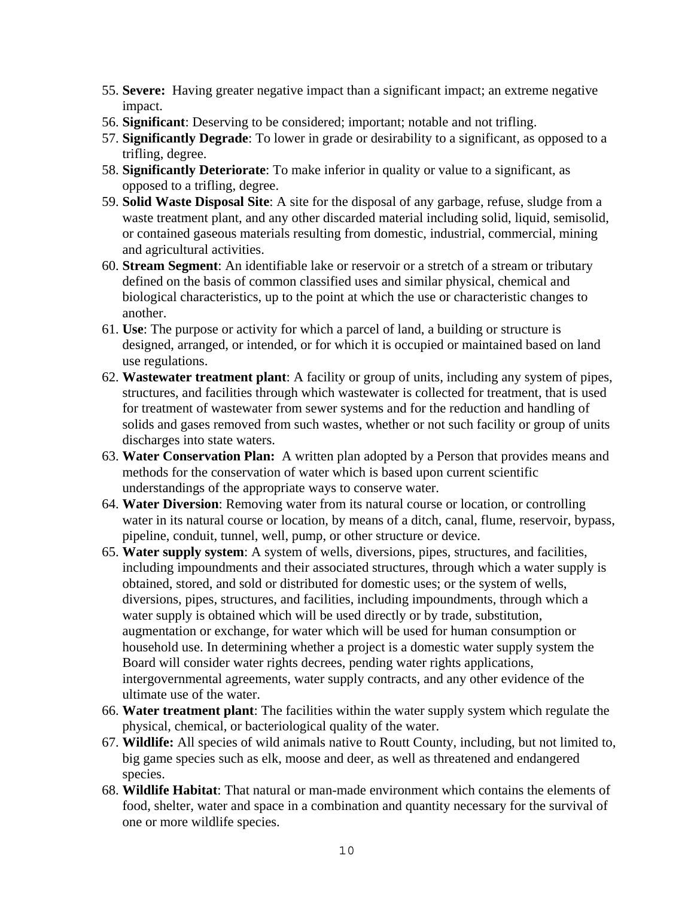- 55. **Severe:** Having greater negative impact than a significant impact; an extreme negative impact.
- 56. **Significant**: Deserving to be considered; important; notable and not trifling.
- 57. **Significantly Degrade**: To lower in grade or desirability to a significant, as opposed to a trifling, degree.
- 58. **Significantly Deteriorate**: To make inferior in quality or value to a significant, as opposed to a trifling, degree.
- 59. **Solid Waste Disposal Site**: A site for the disposal of any garbage, refuse, sludge from a waste treatment plant, and any other discarded material including solid, liquid, semisolid, or contained gaseous materials resulting from domestic, industrial, commercial, mining and agricultural activities.
- 60. **Stream Segment**: An identifiable lake or reservoir or a stretch of a stream or tributary defined on the basis of common classified uses and similar physical, chemical and biological characteristics, up to the point at which the use or characteristic changes to another.
- 61. **Use**: The purpose or activity for which a parcel of land, a building or structure is designed, arranged, or intended, or for which it is occupied or maintained based on land use regulations.
- 62. **Wastewater treatment plant**: A facility or group of units, including any system of pipes, structures, and facilities through which wastewater is collected for treatment, that is used for treatment of wastewater from sewer systems and for the reduction and handling of solids and gases removed from such wastes, whether or not such facility or group of units discharges into state waters.
- 63. **Water Conservation Plan:** A written plan adopted by a Person that provides means and methods for the conservation of water which is based upon current scientific understandings of the appropriate ways to conserve water.
- 64. **Water Diversion**: Removing water from its natural course or location, or controlling water in its natural course or location, by means of a ditch, canal, flume, reservoir, bypass, pipeline, conduit, tunnel, well, pump, or other structure or device.
- 65. **Water supply system**: A system of wells, diversions, pipes, structures, and facilities, including impoundments and their associated structures, through which a water supply is obtained, stored, and sold or distributed for domestic uses; or the system of wells, diversions, pipes, structures, and facilities, including impoundments, through which a water supply is obtained which will be used directly or by trade, substitution, augmentation or exchange, for water which will be used for human consumption or household use. In determining whether a project is a domestic water supply system the Board will consider water rights decrees, pending water rights applications, intergovernmental agreements, water supply contracts, and any other evidence of the ultimate use of the water.
- 66. **Water treatment plant**: The facilities within the water supply system which regulate the physical, chemical, or bacteriological quality of the water.
- 67. **Wildlife:** All species of wild animals native to Routt County, including, but not limited to, big game species such as elk, moose and deer, as well as threatened and endangered species.
- 68. **Wildlife Habitat**: That natural or man-made environment which contains the elements of food, shelter, water and space in a combination and quantity necessary for the survival of one or more wildlife species.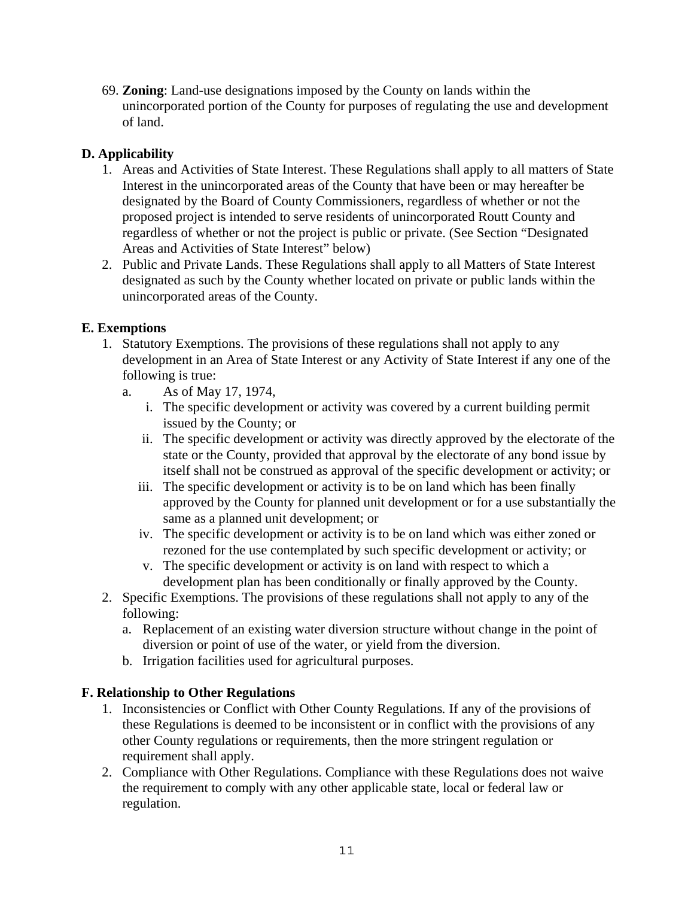69. **Zoning**: Land-use designations imposed by the County on lands within the unincorporated portion of the County for purposes of regulating the use and development of land.

# **D. Applicability**

- 1. Areas and Activities of State Interest. These Regulations shall apply to all matters of State Interest in the unincorporated areas of the County that have been or may hereafter be designated by the Board of County Commissioners, regardless of whether or not the proposed project is intended to serve residents of unincorporated Routt County and regardless of whether or not the project is public or private. (See Section "Designated Areas and Activities of State Interest" below)
- 2. Public and Private Lands. These Regulations shall apply to all Matters of State Interest designated as such by the County whether located on private or public lands within the unincorporated areas of the County.

## **E. Exemptions**

- 1. Statutory Exemptions. The provisions of these regulations shall not apply to any development in an Area of State Interest or any Activity of State Interest if any one of the following is true:
	- a. As of May 17, 1974,
		- i. The specific development or activity was covered by a current building permit issued by the County; or
		- ii. The specific development or activity was directly approved by the electorate of the state or the County, provided that approval by the electorate of any bond issue by itself shall not be construed as approval of the specific development or activity; or
		- iii. The specific development or activity is to be on land which has been finally approved by the County for planned unit development or for a use substantially the same as a planned unit development; or
		- iv. The specific development or activity is to be on land which was either zoned or rezoned for the use contemplated by such specific development or activity; or
		- v. The specific development or activity is on land with respect to which a development plan has been conditionally or finally approved by the County.
- 2. Specific Exemptions. The provisions of these regulations shall not apply to any of the following:
	- a. Replacement of an existing water diversion structure without change in the point of diversion or point of use of the water, or yield from the diversion.
	- b. Irrigation facilities used for agricultural purposes.

#### **F. Relationship to Other Regulations**

- 1. Inconsistencies or Conflict with Other County Regulations*.* If any of the provisions of these Regulations is deemed to be inconsistent or in conflict with the provisions of any other County regulations or requirements, then the more stringent regulation or requirement shall apply.
- 2. Compliance with Other Regulations. Compliance with these Regulations does not waive the requirement to comply with any other applicable state, local or federal law or regulation.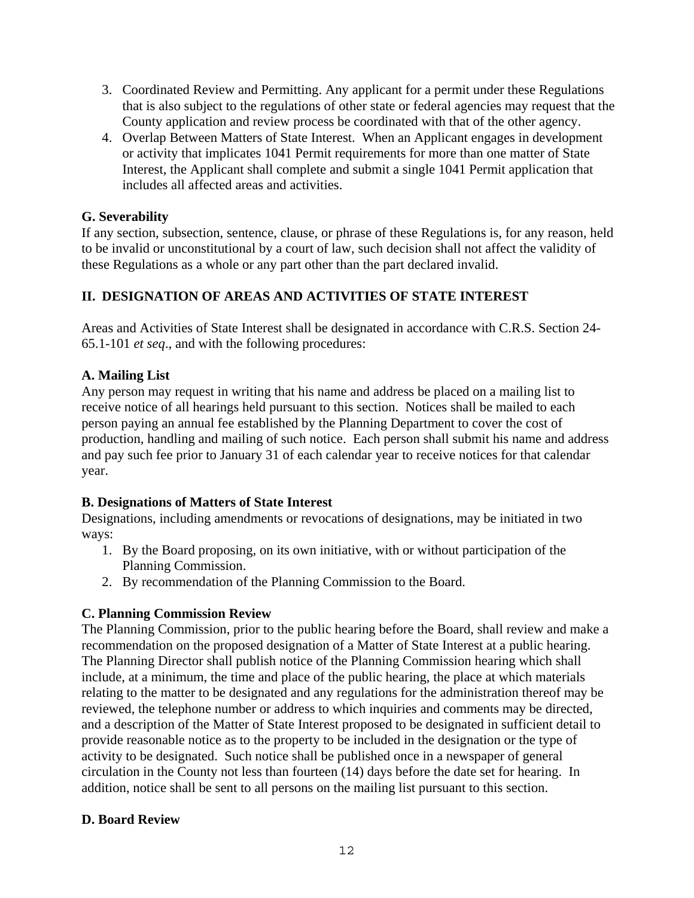- 3. Coordinated Review and Permitting. Any applicant for a permit under these Regulations that is also subject to the regulations of other state or federal agencies may request that the County application and review process be coordinated with that of the other agency.
- 4. Overlap Between Matters of State Interest. When an Applicant engages in development or activity that implicates 1041 Permit requirements for more than one matter of State Interest, the Applicant shall complete and submit a single 1041 Permit application that includes all affected areas and activities.

#### **G. Severability**

If any section, subsection, sentence, clause, or phrase of these Regulations is, for any reason, held to be invalid or unconstitutional by a court of law, such decision shall not affect the validity of these Regulations as a whole or any part other than the part declared invalid.

## **II. DESIGNATION OF AREAS AND ACTIVITIES OF STATE INTEREST**

Areas and Activities of State Interest shall be designated in accordance with C.R.S. Section 24- 65.1-101 *et seq*., and with the following procedures:

## **A. Mailing List**

Any person may request in writing that his name and address be placed on a mailing list to receive notice of all hearings held pursuant to this section. Notices shall be mailed to each person paying an annual fee established by the Planning Department to cover the cost of production, handling and mailing of such notice. Each person shall submit his name and address and pay such fee prior to January 31 of each calendar year to receive notices for that calendar year.

## **B. Designations of Matters of State Interest**

Designations, including amendments or revocations of designations, may be initiated in two ways:

- 1. By the Board proposing, on its own initiative, with or without participation of the Planning Commission.
- 2. By recommendation of the Planning Commission to the Board.

## **C. Planning Commission Review**

The Planning Commission, prior to the public hearing before the Board, shall review and make a recommendation on the proposed designation of a Matter of State Interest at a public hearing. The Planning Director shall publish notice of the Planning Commission hearing which shall include, at a minimum, the time and place of the public hearing, the place at which materials relating to the matter to be designated and any regulations for the administration thereof may be reviewed, the telephone number or address to which inquiries and comments may be directed, and a description of the Matter of State Interest proposed to be designated in sufficient detail to provide reasonable notice as to the property to be included in the designation or the type of activity to be designated. Such notice shall be published once in a newspaper of general circulation in the County not less than fourteen (14) days before the date set for hearing. In addition, notice shall be sent to all persons on the mailing list pursuant to this section.

## **D. Board Review**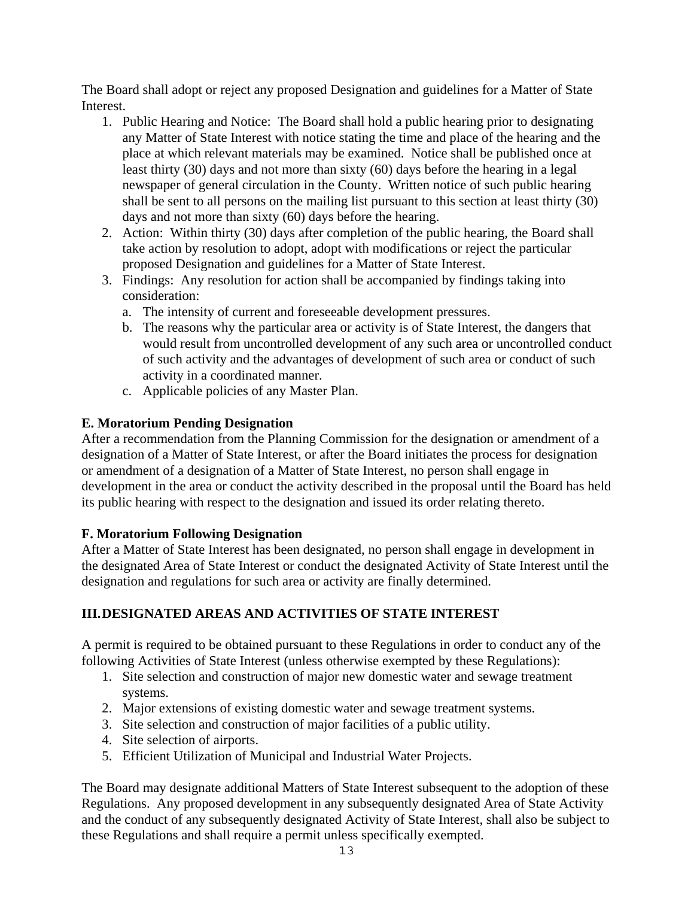The Board shall adopt or reject any proposed Designation and guidelines for a Matter of State Interest.

- 1. Public Hearing and Notice: The Board shall hold a public hearing prior to designating any Matter of State Interest with notice stating the time and place of the hearing and the place at which relevant materials may be examined. Notice shall be published once at least thirty (30) days and not more than sixty (60) days before the hearing in a legal newspaper of general circulation in the County. Written notice of such public hearing shall be sent to all persons on the mailing list pursuant to this section at least thirty (30) days and not more than sixty (60) days before the hearing.
- 2. Action: Within thirty (30) days after completion of the public hearing, the Board shall take action by resolution to adopt, adopt with modifications or reject the particular proposed Designation and guidelines for a Matter of State Interest.
- 3. Findings: Any resolution for action shall be accompanied by findings taking into consideration:
	- a. The intensity of current and foreseeable development pressures.
	- b. The reasons why the particular area or activity is of State Interest, the dangers that would result from uncontrolled development of any such area or uncontrolled conduct of such activity and the advantages of development of such area or conduct of such activity in a coordinated manner.
	- c. Applicable policies of any Master Plan.

## **E. Moratorium Pending Designation**

After a recommendation from the Planning Commission for the designation or amendment of a designation of a Matter of State Interest, or after the Board initiates the process for designation or amendment of a designation of a Matter of State Interest, no person shall engage in development in the area or conduct the activity described in the proposal until the Board has held its public hearing with respect to the designation and issued its order relating thereto.

## **F. Moratorium Following Designation**

After a Matter of State Interest has been designated, no person shall engage in development in the designated Area of State Interest or conduct the designated Activity of State Interest until the designation and regulations for such area or activity are finally determined.

## **III.DESIGNATED AREAS AND ACTIVITIES OF STATE INTEREST**

A permit is required to be obtained pursuant to these Regulations in order to conduct any of the following Activities of State Interest (unless otherwise exempted by these Regulations):

- 1. Site selection and construction of major new domestic water and sewage treatment systems.
- 2. Major extensions of existing domestic water and sewage treatment systems.
- 3. Site selection and construction of major facilities of a public utility.
- 4. Site selection of airports.
- 5. Efficient Utilization of Municipal and Industrial Water Projects.

The Board may designate additional Matters of State Interest subsequent to the adoption of these Regulations. Any proposed development in any subsequently designated Area of State Activity and the conduct of any subsequently designated Activity of State Interest, shall also be subject to these Regulations and shall require a permit unless specifically exempted.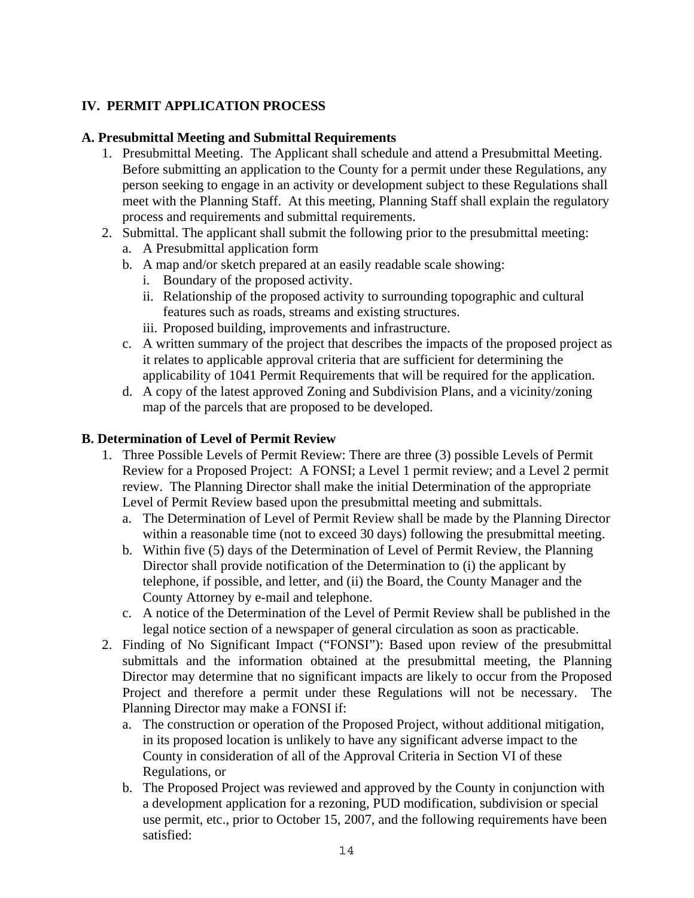## **IV. PERMIT APPLICATION PROCESS**

#### **A. Presubmittal Meeting and Submittal Requirements**

- 1. Presubmittal Meeting. The Applicant shall schedule and attend a Presubmittal Meeting. Before submitting an application to the County for a permit under these Regulations, any person seeking to engage in an activity or development subject to these Regulations shall meet with the Planning Staff. At this meeting, Planning Staff shall explain the regulatory process and requirements and submittal requirements.
- 2. Submittal. The applicant shall submit the following prior to the presubmittal meeting:
	- a. A Presubmittal application form
	- b. A map and/or sketch prepared at an easily readable scale showing:
		- i. Boundary of the proposed activity.
		- ii. Relationship of the proposed activity to surrounding topographic and cultural features such as roads, streams and existing structures.
		- iii. Proposed building, improvements and infrastructure.
	- c. A written summary of the project that describes the impacts of the proposed project as it relates to applicable approval criteria that are sufficient for determining the applicability of 1041 Permit Requirements that will be required for the application.
	- d. A copy of the latest approved Zoning and Subdivision Plans, and a vicinity/zoning map of the parcels that are proposed to be developed.

#### **B. Determination of Level of Permit Review**

- 1. Three Possible Levels of Permit Review: There are three (3) possible Levels of Permit Review for a Proposed Project: A FONSI; a Level 1 permit review; and a Level 2 permit review. The Planning Director shall make the initial Determination of the appropriate Level of Permit Review based upon the presubmittal meeting and submittals.
	- a. The Determination of Level of Permit Review shall be made by the Planning Director within a reasonable time (not to exceed 30 days) following the presubmittal meeting.
	- b. Within five (5) days of the Determination of Level of Permit Review, the Planning Director shall provide notification of the Determination to (i) the applicant by telephone, if possible, and letter, and (ii) the Board, the County Manager and the County Attorney by e-mail and telephone.
	- c. A notice of the Determination of the Level of Permit Review shall be published in the legal notice section of a newspaper of general circulation as soon as practicable.
- 2. Finding of No Significant Impact ("FONSI"): Based upon review of the presubmittal submittals and the information obtained at the presubmittal meeting, the Planning Director may determine that no significant impacts are likely to occur from the Proposed Project and therefore a permit under these Regulations will not be necessary. The Planning Director may make a FONSI if:
	- a. The construction or operation of the Proposed Project, without additional mitigation, in its proposed location is unlikely to have any significant adverse impact to the County in consideration of all of the Approval Criteria in Section VI of these Regulations, or
	- b. The Proposed Project was reviewed and approved by the County in conjunction with a development application for a rezoning, PUD modification, subdivision or special use permit, etc., prior to October 15, 2007, and the following requirements have been satisfied: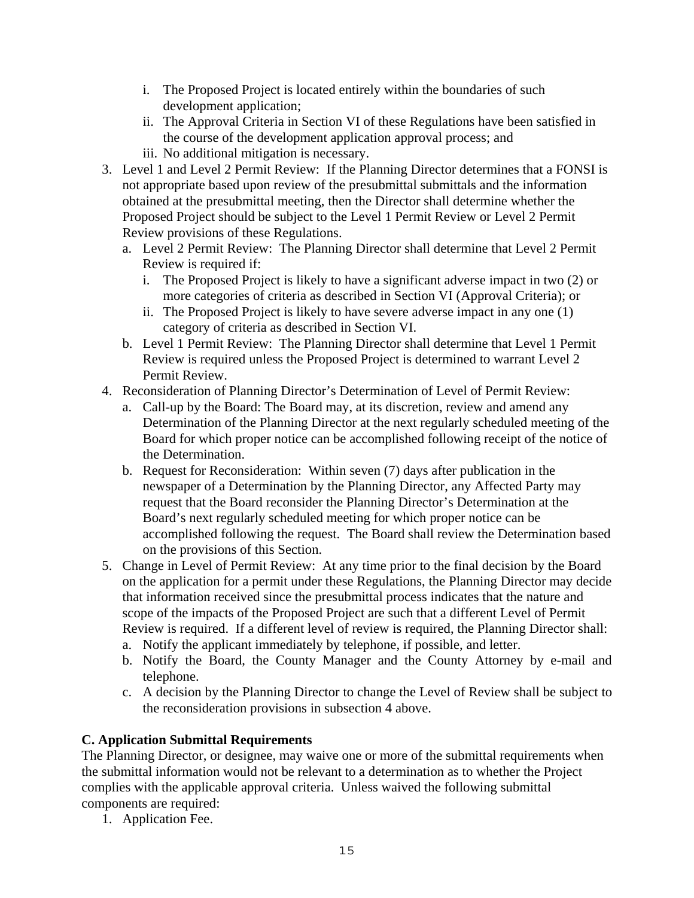- i. The Proposed Project is located entirely within the boundaries of such development application;
- ii. The Approval Criteria in Section VI of these Regulations have been satisfied in the course of the development application approval process; and
- iii. No additional mitigation is necessary.
- 3. Level 1 and Level 2 Permit Review: If the Planning Director determines that a FONSI is not appropriate based upon review of the presubmittal submittals and the information obtained at the presubmittal meeting, then the Director shall determine whether the Proposed Project should be subject to the Level 1 Permit Review or Level 2 Permit Review provisions of these Regulations.
	- a. Level 2 Permit Review: The Planning Director shall determine that Level 2 Permit Review is required if:
		- i. The Proposed Project is likely to have a significant adverse impact in two (2) or more categories of criteria as described in Section VI (Approval Criteria); or
		- ii. The Proposed Project is likely to have severe adverse impact in any one (1) category of criteria as described in Section VI.
	- b. Level 1 Permit Review: The Planning Director shall determine that Level 1 Permit Review is required unless the Proposed Project is determined to warrant Level 2 Permit Review.
- 4. Reconsideration of Planning Director's Determination of Level of Permit Review:
	- a. Call-up by the Board: The Board may, at its discretion, review and amend any Determination of the Planning Director at the next regularly scheduled meeting of the Board for which proper notice can be accomplished following receipt of the notice of the Determination.
	- b. Request for Reconsideration: Within seven (7) days after publication in the newspaper of a Determination by the Planning Director, any Affected Party may request that the Board reconsider the Planning Director's Determination at the Board's next regularly scheduled meeting for which proper notice can be accomplished following the request. The Board shall review the Determination based on the provisions of this Section.
- 5. Change in Level of Permit Review: At any time prior to the final decision by the Board on the application for a permit under these Regulations, the Planning Director may decide that information received since the presubmittal process indicates that the nature and scope of the impacts of the Proposed Project are such that a different Level of Permit Review is required. If a different level of review is required, the Planning Director shall:
	- a. Notify the applicant immediately by telephone, if possible, and letter.
	- b. Notify the Board, the County Manager and the County Attorney by e-mail and telephone.
	- c. A decision by the Planning Director to change the Level of Review shall be subject to the reconsideration provisions in subsection 4 above.

## **C. Application Submittal Requirements**

The Planning Director, or designee, may waive one or more of the submittal requirements when the submittal information would not be relevant to a determination as to whether the Project complies with the applicable approval criteria. Unless waived the following submittal components are required:

1. Application Fee.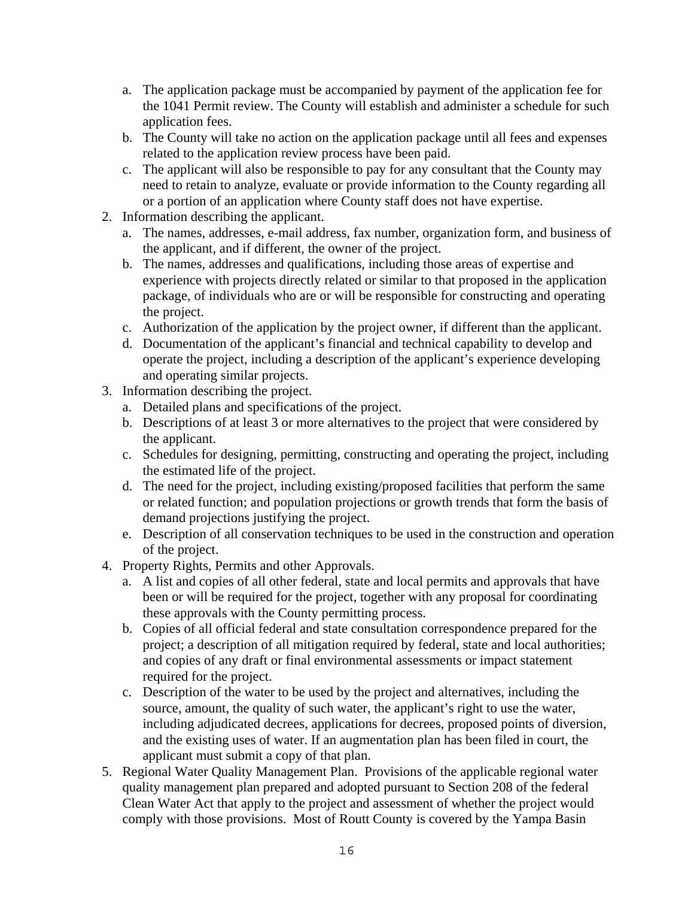- a. The application package must be accompanied by payment of the application fee for the 1041 Permit review. The County will establish and administer a schedule for such application fees.
- b. The County will take no action on the application package until all fees and expenses related to the application review process have been paid.
- c. The applicant will also be responsible to pay for any consultant that the County may need to retain to analyze, evaluate or provide information to the County regarding all or a portion of an application where County staff does not have expertise.
- 2. Information describing the applicant.
	- a. The names, addresses, e-mail address, fax number, organization form, and business of the applicant, and if different, the owner of the project.
	- b. The names, addresses and qualifications, including those areas of expertise and experience with projects directly related or similar to that proposed in the application package, of individuals who are or will be responsible for constructing and operating the project.
	- c. Authorization of the application by the project owner, if different than the applicant.
	- d. Documentation of the applicant's financial and technical capability to develop and operate the project, including a description of the applicant's experience developing and operating similar projects.
- 3. Information describing the project.
	- a. Detailed plans and specifications of the project.
	- b. Descriptions of at least 3 or more alternatives to the project that were considered by the applicant.
	- c. Schedules for designing, permitting, constructing and operating the project, including the estimated life of the project.
	- d. The need for the project, including existing/proposed facilities that perform the same or related function; and population projections or growth trends that form the basis of demand projections justifying the project.
	- e. Description of all conservation techniques to be used in the construction and operation of the project.
- 4. Property Rights, Permits and other Approvals.
	- a. A list and copies of all other federal, state and local permits and approvals that have been or will be required for the project, together with any proposal for coordinating these approvals with the County permitting process.
	- b. Copies of all official federal and state consultation correspondence prepared for the project; a description of all mitigation required by federal, state and local authorities; and copies of any draft or final environmental assessments or impact statement required for the project.
	- c. Description of the water to be used by the project and alternatives, including the source, amount, the quality of such water, the applicant's right to use the water, including adjudicated decrees, applications for decrees, proposed points of diversion, and the existing uses of water. If an augmentation plan has been filed in court, the applicant must submit a copy of that plan.
- 5. Regional Water Quality Management Plan. Provisions of the applicable regional water quality management plan prepared and adopted pursuant to Section 208 of the federal Clean Water Act that apply to the project and assessment of whether the project would comply with those provisions. Most of Routt County is covered by the Yampa Basin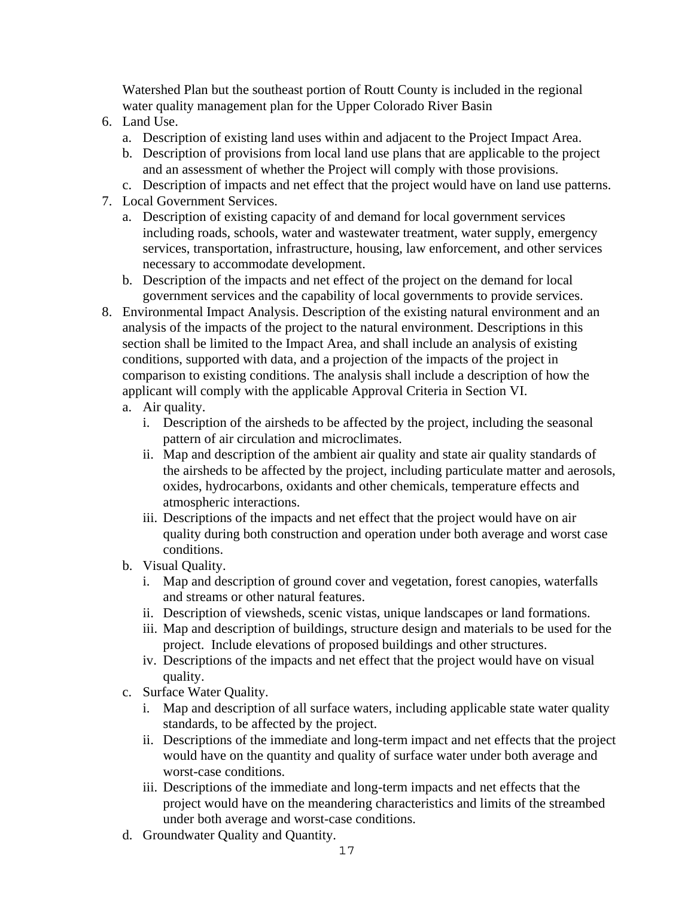Watershed Plan but the southeast portion of Routt County is included in the regional water quality management plan for the Upper Colorado River Basin

- 6. Land Use.
	- a. Description of existing land uses within and adjacent to the Project Impact Area.
	- b. Description of provisions from local land use plans that are applicable to the project and an assessment of whether the Project will comply with those provisions.
- c. Description of impacts and net effect that the project would have on land use patterns.
- 7. Local Government Services.
	- a. Description of existing capacity of and demand for local government services including roads, schools, water and wastewater treatment, water supply, emergency services, transportation, infrastructure, housing, law enforcement, and other services necessary to accommodate development.
	- b. Description of the impacts and net effect of the project on the demand for local government services and the capability of local governments to provide services.
- 8. Environmental Impact Analysis. Description of the existing natural environment and an analysis of the impacts of the project to the natural environment. Descriptions in this section shall be limited to the Impact Area, and shall include an analysis of existing conditions, supported with data, and a projection of the impacts of the project in comparison to existing conditions. The analysis shall include a description of how the applicant will comply with the applicable Approval Criteria in Section VI.
	- a. Air quality.
		- i. Description of the airsheds to be affected by the project, including the seasonal pattern of air circulation and microclimates.
		- ii. Map and description of the ambient air quality and state air quality standards of the airsheds to be affected by the project, including particulate matter and aerosols, oxides, hydrocarbons, oxidants and other chemicals, temperature effects and atmospheric interactions.
		- iii. Descriptions of the impacts and net effect that the project would have on air quality during both construction and operation under both average and worst case conditions.
	- b. Visual Quality.
		- i. Map and description of ground cover and vegetation, forest canopies, waterfalls and streams or other natural features.
		- ii. Description of viewsheds, scenic vistas, unique landscapes or land formations.
		- iii. Map and description of buildings, structure design and materials to be used for the project. Include elevations of proposed buildings and other structures.
		- iv. Descriptions of the impacts and net effect that the project would have on visual quality.
	- c. Surface Water Quality.
		- i. Map and description of all surface waters, including applicable state water quality standards, to be affected by the project.
		- ii. Descriptions of the immediate and long-term impact and net effects that the project would have on the quantity and quality of surface water under both average and worst-case conditions.
		- iii. Descriptions of the immediate and long-term impacts and net effects that the project would have on the meandering characteristics and limits of the streambed under both average and worst-case conditions.
	- d. Groundwater Quality and Quantity.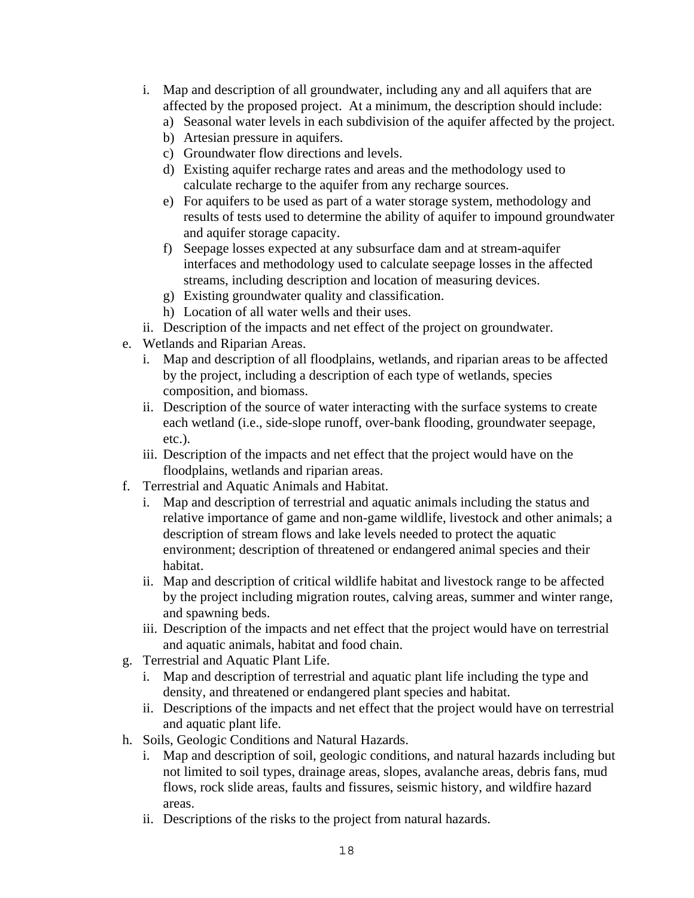- i. Map and description of all groundwater, including any and all aquifers that are affected by the proposed project. At a minimum, the description should include:
	- a) Seasonal water levels in each subdivision of the aquifer affected by the project.
	- b) Artesian pressure in aquifers.
	- c) Groundwater flow directions and levels.
	- d) Existing aquifer recharge rates and areas and the methodology used to calculate recharge to the aquifer from any recharge sources.
	- e) For aquifers to be used as part of a water storage system, methodology and results of tests used to determine the ability of aquifer to impound groundwater and aquifer storage capacity.
	- f) Seepage losses expected at any subsurface dam and at stream-aquifer interfaces and methodology used to calculate seepage losses in the affected streams, including description and location of measuring devices.
	- g) Existing groundwater quality and classification.
	- h) Location of all water wells and their uses.
- ii. Description of the impacts and net effect of the project on groundwater.
- e. Wetlands and Riparian Areas.
	- i. Map and description of all floodplains, wetlands, and riparian areas to be affected by the project, including a description of each type of wetlands, species composition, and biomass.
	- ii. Description of the source of water interacting with the surface systems to create each wetland (i.e., side-slope runoff, over-bank flooding, groundwater seepage, etc.).
	- iii. Description of the impacts and net effect that the project would have on the floodplains, wetlands and riparian areas.
- f. Terrestrial and Aquatic Animals and Habitat.
	- i. Map and description of terrestrial and aquatic animals including the status and relative importance of game and non-game wildlife, livestock and other animals; a description of stream flows and lake levels needed to protect the aquatic environment; description of threatened or endangered animal species and their habitat.
	- ii. Map and description of critical wildlife habitat and livestock range to be affected by the project including migration routes, calving areas, summer and winter range, and spawning beds.
	- iii. Description of the impacts and net effect that the project would have on terrestrial and aquatic animals, habitat and food chain.
- g. Terrestrial and Aquatic Plant Life.
	- i. Map and description of terrestrial and aquatic plant life including the type and density, and threatened or endangered plant species and habitat.
	- ii. Descriptions of the impacts and net effect that the project would have on terrestrial and aquatic plant life.
- h. Soils, Geologic Conditions and Natural Hazards.
	- i. Map and description of soil, geologic conditions, and natural hazards including but not limited to soil types, drainage areas, slopes, avalanche areas, debris fans, mud flows, rock slide areas, faults and fissures, seismic history, and wildfire hazard areas.
	- ii. Descriptions of the risks to the project from natural hazards.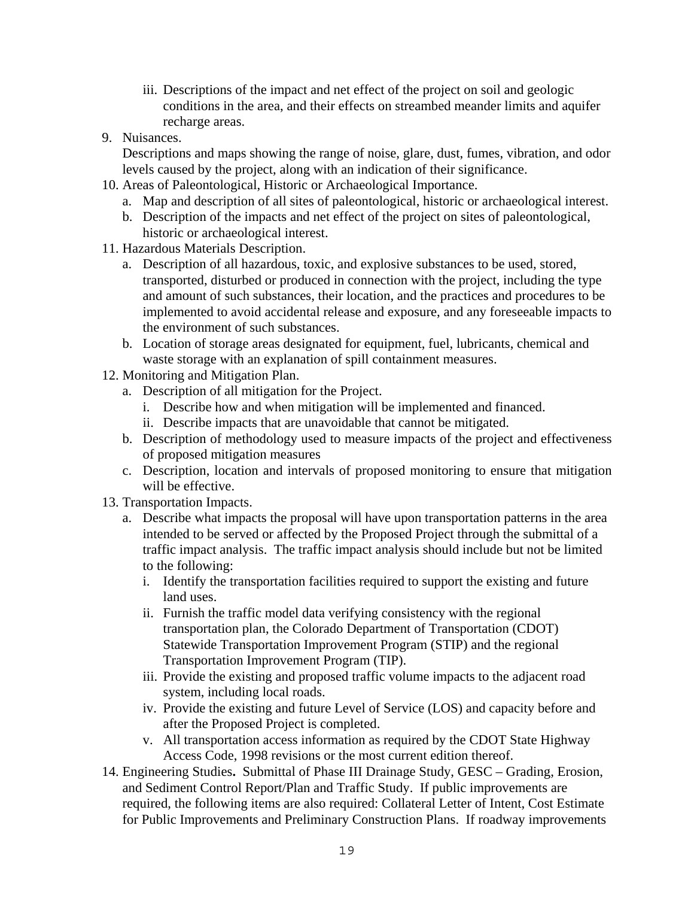- iii. Descriptions of the impact and net effect of the project on soil and geologic conditions in the area, and their effects on streambed meander limits and aquifer recharge areas.
- 9. Nuisances.

Descriptions and maps showing the range of noise, glare, dust, fumes, vibration, and odor levels caused by the project, along with an indication of their significance.

- 10. Areas of Paleontological, Historic or Archaeological Importance.
	- a. Map and description of all sites of paleontological, historic or archaeological interest.
	- b. Description of the impacts and net effect of the project on sites of paleontological, historic or archaeological interest.
- 11. Hazardous Materials Description.
	- a. Description of all hazardous, toxic, and explosive substances to be used, stored, transported, disturbed or produced in connection with the project, including the type and amount of such substances, their location, and the practices and procedures to be implemented to avoid accidental release and exposure, and any foreseeable impacts to the environment of such substances.
	- b. Location of storage areas designated for equipment, fuel, lubricants, chemical and waste storage with an explanation of spill containment measures.
- 12. Monitoring and Mitigation Plan.
	- a. Description of all mitigation for the Project.
		- i. Describe how and when mitigation will be implemented and financed.
		- ii. Describe impacts that are unavoidable that cannot be mitigated.
	- b. Description of methodology used to measure impacts of the project and effectiveness of proposed mitigation measures
	- c. Description, location and intervals of proposed monitoring to ensure that mitigation will be effective.
- 13. Transportation Impacts.
	- a. Describe what impacts the proposal will have upon transportation patterns in the area intended to be served or affected by the Proposed Project through the submittal of a traffic impact analysis. The traffic impact analysis should include but not be limited to the following:
		- i. Identify the transportation facilities required to support the existing and future land uses.
		- ii. Furnish the traffic model data verifying consistency with the regional transportation plan, the Colorado Department of Transportation (CDOT) Statewide Transportation Improvement Program (STIP) and the regional Transportation Improvement Program (TIP).
		- iii. Provide the existing and proposed traffic volume impacts to the adjacent road system, including local roads.
		- iv. Provide the existing and future Level of Service (LOS) and capacity before and after the Proposed Project is completed.
		- v. All transportation access information as required by the CDOT State Highway Access Code, 1998 revisions or the most current edition thereof.
- 14. Engineering Studies**.** Submittal of Phase III Drainage Study, GESC Grading, Erosion, and Sediment Control Report/Plan and Traffic Study. If public improvements are required, the following items are also required: Collateral Letter of Intent, Cost Estimate for Public Improvements and Preliminary Construction Plans. If roadway improvements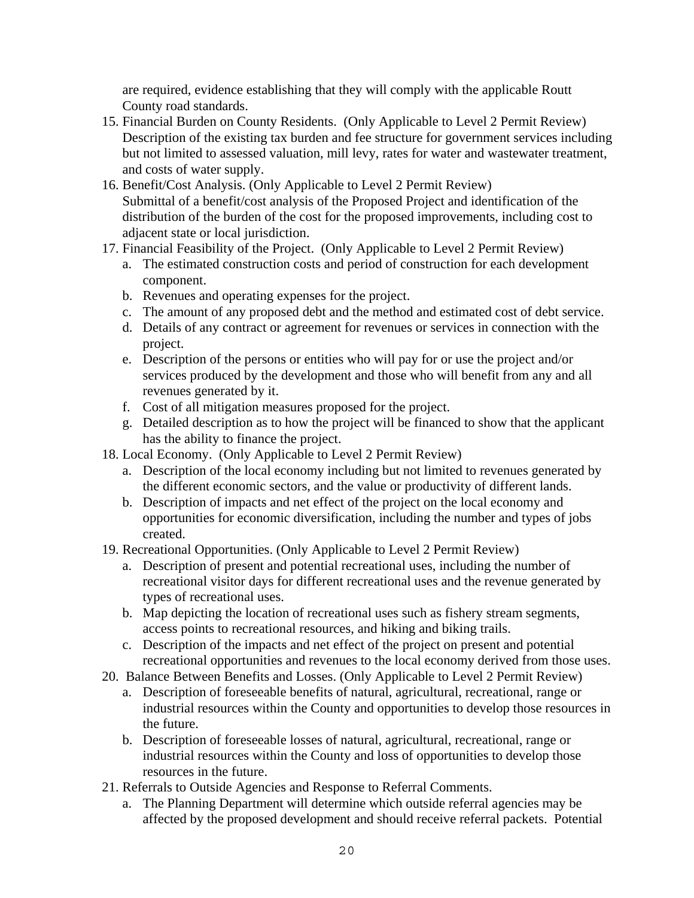are required, evidence establishing that they will comply with the applicable Routt County road standards.

- 15. Financial Burden on County Residents. (Only Applicable to Level 2 Permit Review) Description of the existing tax burden and fee structure for government services including but not limited to assessed valuation, mill levy, rates for water and wastewater treatment, and costs of water supply.
- 16. Benefit/Cost Analysis. (Only Applicable to Level 2 Permit Review) Submittal of a benefit/cost analysis of the Proposed Project and identification of the distribution of the burden of the cost for the proposed improvements, including cost to adjacent state or local jurisdiction.
- 17. Financial Feasibility of the Project. (Only Applicable to Level 2 Permit Review)
	- a. The estimated construction costs and period of construction for each development component.
	- b. Revenues and operating expenses for the project.
	- c. The amount of any proposed debt and the method and estimated cost of debt service.
	- d. Details of any contract or agreement for revenues or services in connection with the project.
	- e. Description of the persons or entities who will pay for or use the project and/or services produced by the development and those who will benefit from any and all revenues generated by it.
	- f. Cost of all mitigation measures proposed for the project.
	- g. Detailed description as to how the project will be financed to show that the applicant has the ability to finance the project.
- 18. Local Economy. (Only Applicable to Level 2 Permit Review)
	- a. Description of the local economy including but not limited to revenues generated by the different economic sectors, and the value or productivity of different lands.
	- b. Description of impacts and net effect of the project on the local economy and opportunities for economic diversification, including the number and types of jobs created.
- 19. Recreational Opportunities. (Only Applicable to Level 2 Permit Review)
	- a. Description of present and potential recreational uses, including the number of recreational visitor days for different recreational uses and the revenue generated by types of recreational uses.
	- b. Map depicting the location of recreational uses such as fishery stream segments, access points to recreational resources, and hiking and biking trails.
	- c. Description of the impacts and net effect of the project on present and potential recreational opportunities and revenues to the local economy derived from those uses.
- 20. Balance Between Benefits and Losses. (Only Applicable to Level 2 Permit Review)
	- a. Description of foreseeable benefits of natural, agricultural, recreational, range or industrial resources within the County and opportunities to develop those resources in the future.
	- b. Description of foreseeable losses of natural, agricultural, recreational, range or industrial resources within the County and loss of opportunities to develop those resources in the future.
- 21. Referrals to Outside Agencies and Response to Referral Comments.
	- a. The Planning Department will determine which outside referral agencies may be affected by the proposed development and should receive referral packets. Potential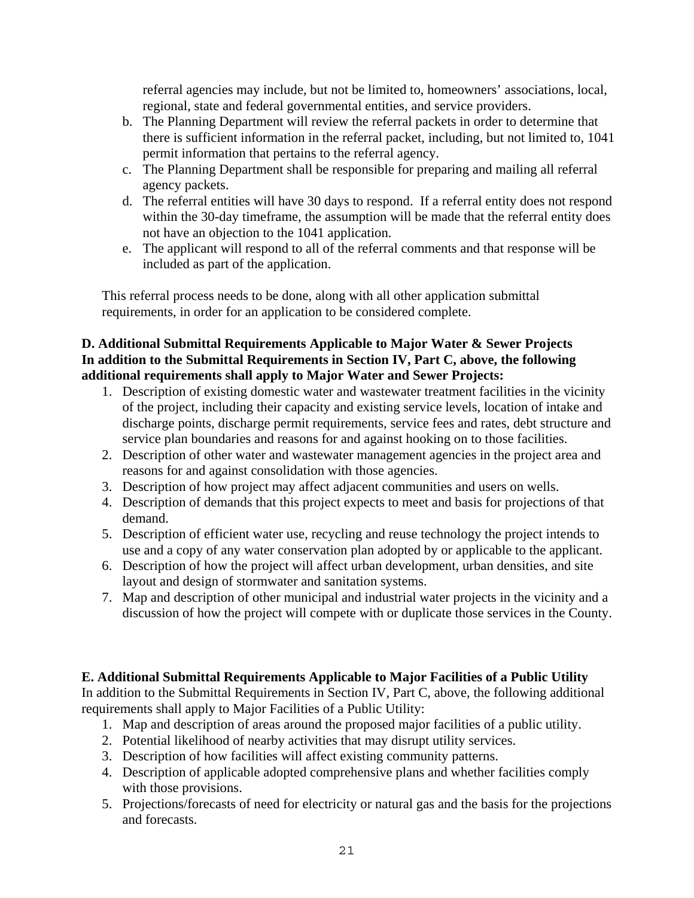referral agencies may include, but not be limited to, homeowners' associations, local, regional, state and federal governmental entities, and service providers.

- b. The Planning Department will review the referral packets in order to determine that there is sufficient information in the referral packet, including, but not limited to, 1041 permit information that pertains to the referral agency.
- c. The Planning Department shall be responsible for preparing and mailing all referral agency packets.
- d. The referral entities will have 30 days to respond. If a referral entity does not respond within the 30-day timeframe, the assumption will be made that the referral entity does not have an objection to the 1041 application.
- e. The applicant will respond to all of the referral comments and that response will be included as part of the application.

This referral process needs to be done, along with all other application submittal requirements, in order for an application to be considered complete.

#### **D. Additional Submittal Requirements Applicable to Major Water & Sewer Projects In addition to the Submittal Requirements in Section IV, Part C, above, the following additional requirements shall apply to Major Water and Sewer Projects:**

- 1. Description of existing domestic water and wastewater treatment facilities in the vicinity of the project, including their capacity and existing service levels, location of intake and discharge points, discharge permit requirements, service fees and rates, debt structure and service plan boundaries and reasons for and against hooking on to those facilities.
- 2. Description of other water and wastewater management agencies in the project area and reasons for and against consolidation with those agencies.
- 3. Description of how project may affect adjacent communities and users on wells.
- 4. Description of demands that this project expects to meet and basis for projections of that demand.
- 5. Description of efficient water use, recycling and reuse technology the project intends to use and a copy of any water conservation plan adopted by or applicable to the applicant.
- 6. Description of how the project will affect urban development, urban densities, and site layout and design of stormwater and sanitation systems.
- 7. Map and description of other municipal and industrial water projects in the vicinity and a discussion of how the project will compete with or duplicate those services in the County.

## **E. Additional Submittal Requirements Applicable to Major Facilities of a Public Utility**

In addition to the Submittal Requirements in Section IV, Part C, above, the following additional requirements shall apply to Major Facilities of a Public Utility:

- 1. Map and description of areas around the proposed major facilities of a public utility.
- 2. Potential likelihood of nearby activities that may disrupt utility services.
- 3. Description of how facilities will affect existing community patterns.
- 4. Description of applicable adopted comprehensive plans and whether facilities comply with those provisions.
- 5. Projections/forecasts of need for electricity or natural gas and the basis for the projections and forecasts.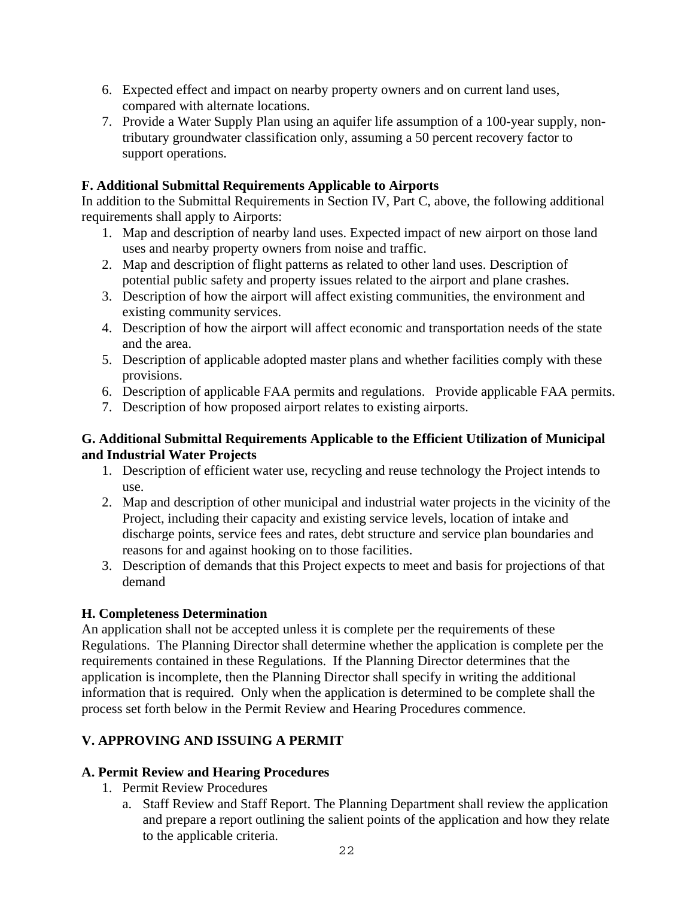- 6. Expected effect and impact on nearby property owners and on current land uses, compared with alternate locations.
- 7. Provide a Water Supply Plan using an aquifer life assumption of a 100-year supply, nontributary groundwater classification only, assuming a 50 percent recovery factor to support operations.

#### **F. Additional Submittal Requirements Applicable to Airports**

In addition to the Submittal Requirements in Section IV, Part C, above, the following additional requirements shall apply to Airports:

- 1. Map and description of nearby land uses. Expected impact of new airport on those land uses and nearby property owners from noise and traffic.
- 2. Map and description of flight patterns as related to other land uses. Description of potential public safety and property issues related to the airport and plane crashes.
- 3. Description of how the airport will affect existing communities, the environment and existing community services.
- 4. Description of how the airport will affect economic and transportation needs of the state and the area.
- 5. Description of applicable adopted master plans and whether facilities comply with these provisions.
- 6. Description of applicable FAA permits and regulations. Provide applicable FAA permits.
- 7. Description of how proposed airport relates to existing airports.

#### **G. Additional Submittal Requirements Applicable to the Efficient Utilization of Municipal and Industrial Water Projects**

- 1. Description of efficient water use, recycling and reuse technology the Project intends to use.
- 2. Map and description of other municipal and industrial water projects in the vicinity of the Project, including their capacity and existing service levels, location of intake and discharge points, service fees and rates, debt structure and service plan boundaries and reasons for and against hooking on to those facilities.
- 3. Description of demands that this Project expects to meet and basis for projections of that demand

## **H. Completeness Determination**

An application shall not be accepted unless it is complete per the requirements of these Regulations. The Planning Director shall determine whether the application is complete per the requirements contained in these Regulations. If the Planning Director determines that the application is incomplete, then the Planning Director shall specify in writing the additional information that is required. Only when the application is determined to be complete shall the process set forth below in the Permit Review and Hearing Procedures commence.

## **V. APPROVING AND ISSUING A PERMIT**

## **A. Permit Review and Hearing Procedures**

- 1. Permit Review Procedures
	- a. Staff Review and Staff Report. The Planning Department shall review the application and prepare a report outlining the salient points of the application and how they relate to the applicable criteria.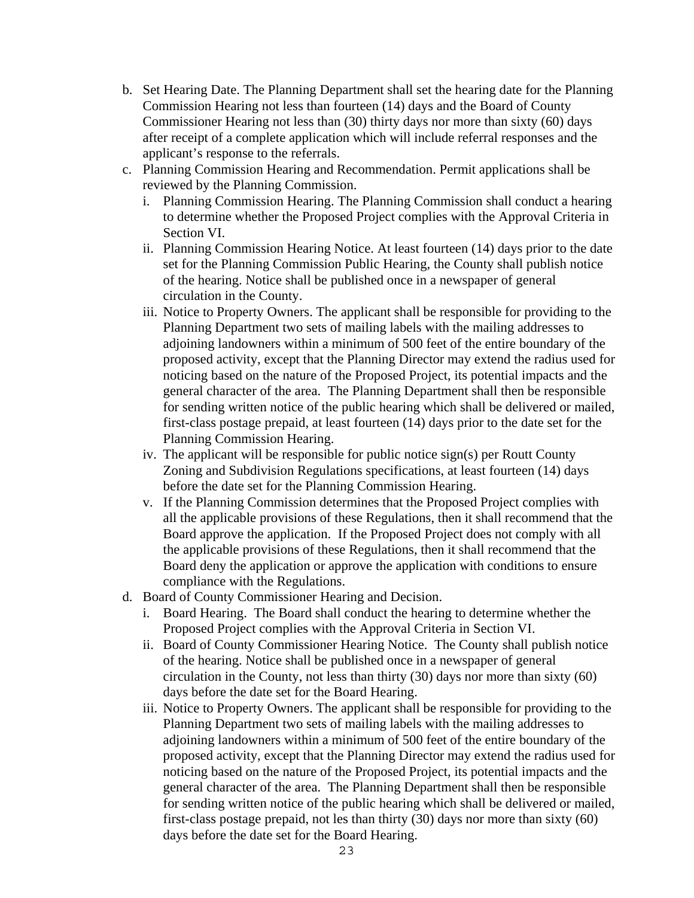- b. Set Hearing Date. The Planning Department shall set the hearing date for the Planning Commission Hearing not less than fourteen (14) days and the Board of County Commissioner Hearing not less than (30) thirty days nor more than sixty (60) days after receipt of a complete application which will include referral responses and the applicant's response to the referrals.
- c. Planning Commission Hearing and Recommendation. Permit applications shall be reviewed by the Planning Commission.
	- i. Planning Commission Hearing. The Planning Commission shall conduct a hearing to determine whether the Proposed Project complies with the Approval Criteria in Section VI.
	- ii. Planning Commission Hearing Notice. At least fourteen (14) days prior to the date set for the Planning Commission Public Hearing, the County shall publish notice of the hearing. Notice shall be published once in a newspaper of general circulation in the County.
	- iii. Notice to Property Owners. The applicant shall be responsible for providing to the Planning Department two sets of mailing labels with the mailing addresses to adjoining landowners within a minimum of 500 feet of the entire boundary of the proposed activity, except that the Planning Director may extend the radius used for noticing based on the nature of the Proposed Project, its potential impacts and the general character of the area. The Planning Department shall then be responsible for sending written notice of the public hearing which shall be delivered or mailed, first-class postage prepaid, at least fourteen (14) days prior to the date set for the Planning Commission Hearing.
	- iv. The applicant will be responsible for public notice sign(s) per Routt County Zoning and Subdivision Regulations specifications, at least fourteen (14) days before the date set for the Planning Commission Hearing.
	- v. If the Planning Commission determines that the Proposed Project complies with all the applicable provisions of these Regulations, then it shall recommend that the Board approve the application. If the Proposed Project does not comply with all the applicable provisions of these Regulations, then it shall recommend that the Board deny the application or approve the application with conditions to ensure compliance with the Regulations.
- d. Board of County Commissioner Hearing and Decision.
	- i. Board Hearing. The Board shall conduct the hearing to determine whether the Proposed Project complies with the Approval Criteria in Section VI.
	- ii. Board of County Commissioner Hearing Notice. The County shall publish notice of the hearing. Notice shall be published once in a newspaper of general circulation in the County, not less than thirty (30) days nor more than sixty (60) days before the date set for the Board Hearing.
	- iii. Notice to Property Owners. The applicant shall be responsible for providing to the Planning Department two sets of mailing labels with the mailing addresses to adjoining landowners within a minimum of 500 feet of the entire boundary of the proposed activity, except that the Planning Director may extend the radius used for noticing based on the nature of the Proposed Project, its potential impacts and the general character of the area. The Planning Department shall then be responsible for sending written notice of the public hearing which shall be delivered or mailed, first-class postage prepaid, not les than thirty (30) days nor more than sixty (60) days before the date set for the Board Hearing.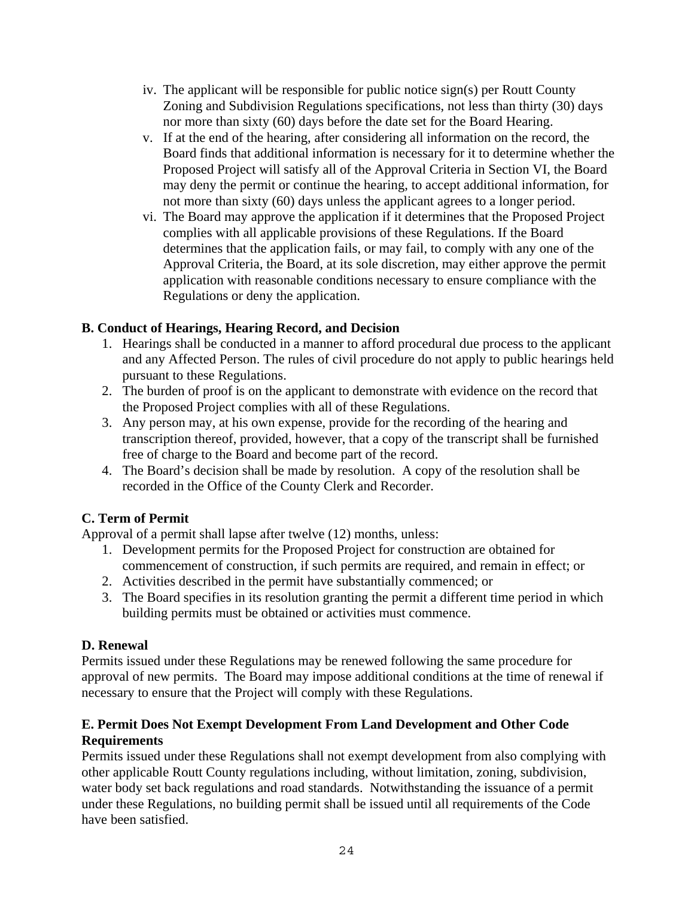- iv. The applicant will be responsible for public notice sign(s) per Routt County Zoning and Subdivision Regulations specifications, not less than thirty (30) days nor more than sixty (60) days before the date set for the Board Hearing.
- v. If at the end of the hearing, after considering all information on the record, the Board finds that additional information is necessary for it to determine whether the Proposed Project will satisfy all of the Approval Criteria in Section VI, the Board may deny the permit or continue the hearing, to accept additional information, for not more than sixty (60) days unless the applicant agrees to a longer period.
- vi. The Board may approve the application if it determines that the Proposed Project complies with all applicable provisions of these Regulations. If the Board determines that the application fails, or may fail, to comply with any one of the Approval Criteria, the Board, at its sole discretion, may either approve the permit application with reasonable conditions necessary to ensure compliance with the Regulations or deny the application.

## **B. Conduct of Hearings, Hearing Record, and Decision**

- 1. Hearings shall be conducted in a manner to afford procedural due process to the applicant and any Affected Person. The rules of civil procedure do not apply to public hearings held pursuant to these Regulations.
- 2. The burden of proof is on the applicant to demonstrate with evidence on the record that the Proposed Project complies with all of these Regulations.
- 3. Any person may, at his own expense, provide for the recording of the hearing and transcription thereof, provided, however, that a copy of the transcript shall be furnished free of charge to the Board and become part of the record.
- 4. The Board's decision shall be made by resolution. A copy of the resolution shall be recorded in the Office of the County Clerk and Recorder.

# **C. Term of Permit**

Approval of a permit shall lapse after twelve (12) months, unless:

- 1. Development permits for the Proposed Project for construction are obtained for commencement of construction, if such permits are required, and remain in effect; or
- 2. Activities described in the permit have substantially commenced; or
- 3. The Board specifies in its resolution granting the permit a different time period in which building permits must be obtained or activities must commence.

## **D. Renewal**

Permits issued under these Regulations may be renewed following the same procedure for approval of new permits. The Board may impose additional conditions at the time of renewal if necessary to ensure that the Project will comply with these Regulations.

#### **E. Permit Does Not Exempt Development From Land Development and Other Code Requirements**

Permits issued under these Regulations shall not exempt development from also complying with other applicable Routt County regulations including, without limitation, zoning, subdivision, water body set back regulations and road standards. Notwithstanding the issuance of a permit under these Regulations, no building permit shall be issued until all requirements of the Code have been satisfied.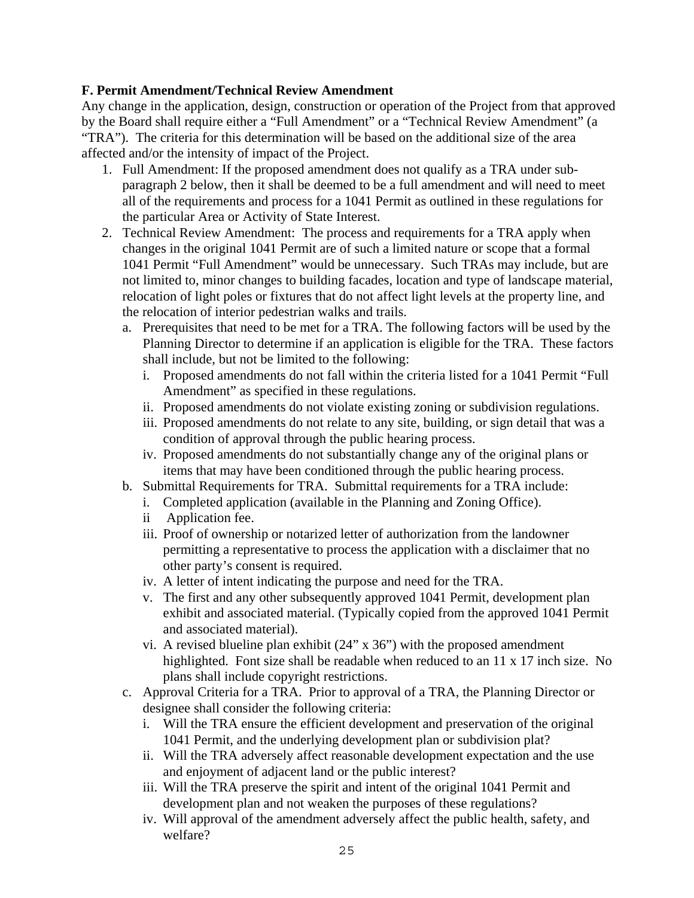#### **F. Permit Amendment/Technical Review Amendment**

Any change in the application, design, construction or operation of the Project from that approved by the Board shall require either a "Full Amendment" or a "Technical Review Amendment" (a "TRA"). The criteria for this determination will be based on the additional size of the area affected and/or the intensity of impact of the Project.

- 1. Full Amendment: If the proposed amendment does not qualify as a TRA under subparagraph 2 below, then it shall be deemed to be a full amendment and will need to meet all of the requirements and process for a 1041 Permit as outlined in these regulations for the particular Area or Activity of State Interest.
- 2. Technical Review Amendment: The process and requirements for a TRA apply when changes in the original 1041 Permit are of such a limited nature or scope that a formal 1041 Permit "Full Amendment" would be unnecessary. Such TRAs may include, but are not limited to, minor changes to building facades, location and type of landscape material, relocation of light poles or fixtures that do not affect light levels at the property line, and the relocation of interior pedestrian walks and trails.
	- a. Prerequisites that need to be met for a TRA. The following factors will be used by the Planning Director to determine if an application is eligible for the TRA. These factors shall include, but not be limited to the following:
		- i. Proposed amendments do not fall within the criteria listed for a 1041 Permit "Full Amendment" as specified in these regulations.
		- ii. Proposed amendments do not violate existing zoning or subdivision regulations.
		- iii. Proposed amendments do not relate to any site, building, or sign detail that was a condition of approval through the public hearing process.
		- iv. Proposed amendments do not substantially change any of the original plans or items that may have been conditioned through the public hearing process.
	- b. Submittal Requirements for TRA. Submittal requirements for a TRA include:
		- i. Completed application (available in the Planning and Zoning Office).
		- ii Application fee.
		- iii. Proof of ownership or notarized letter of authorization from the landowner permitting a representative to process the application with a disclaimer that no other party's consent is required.
		- iv. A letter of intent indicating the purpose and need for the TRA.
		- v. The first and any other subsequently approved 1041 Permit, development plan exhibit and associated material. (Typically copied from the approved 1041 Permit and associated material).
		- vi. A revised blueline plan exhibit  $(24" \times 36")$  with the proposed amendment highlighted. Font size shall be readable when reduced to an 11 x 17 inch size. No plans shall include copyright restrictions.
	- c. Approval Criteria for a TRA. Prior to approval of a TRA, the Planning Director or designee shall consider the following criteria:
		- i. Will the TRA ensure the efficient development and preservation of the original 1041 Permit, and the underlying development plan or subdivision plat?
		- ii. Will the TRA adversely affect reasonable development expectation and the use and enjoyment of adjacent land or the public interest?
		- iii. Will the TRA preserve the spirit and intent of the original 1041 Permit and development plan and not weaken the purposes of these regulations?
		- iv. Will approval of the amendment adversely affect the public health, safety, and welfare?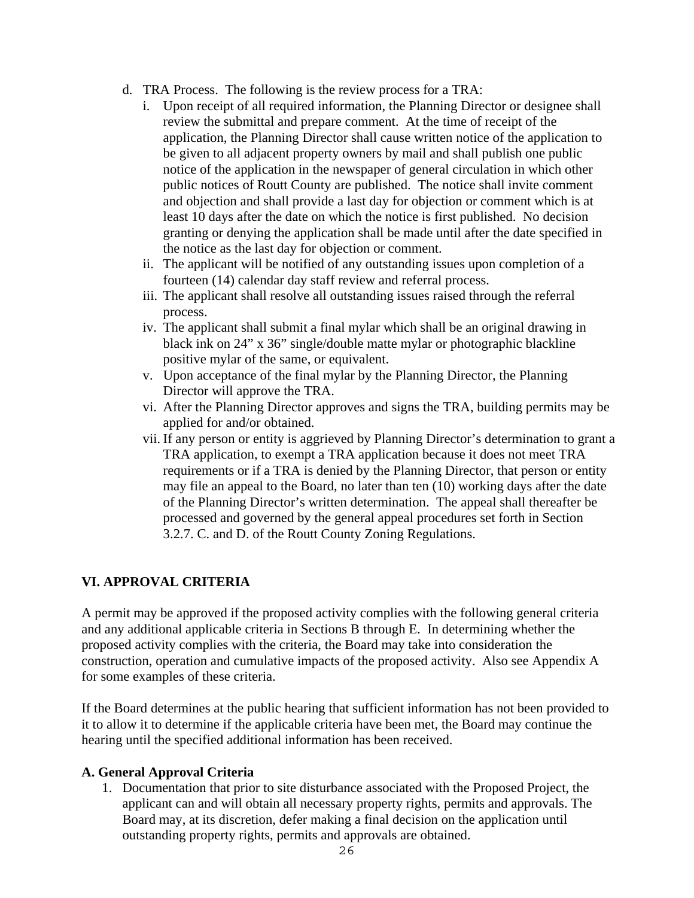- d. TRA Process. The following is the review process for a TRA:
	- i. Upon receipt of all required information, the Planning Director or designee shall review the submittal and prepare comment. At the time of receipt of the application, the Planning Director shall cause written notice of the application to be given to all adjacent property owners by mail and shall publish one public notice of the application in the newspaper of general circulation in which other public notices of Routt County are published. The notice shall invite comment and objection and shall provide a last day for objection or comment which is at least 10 days after the date on which the notice is first published. No decision granting or denying the application shall be made until after the date specified in the notice as the last day for objection or comment.
	- ii. The applicant will be notified of any outstanding issues upon completion of a fourteen (14) calendar day staff review and referral process.
	- iii. The applicant shall resolve all outstanding issues raised through the referral process.
	- iv. The applicant shall submit a final mylar which shall be an original drawing in black ink on 24" x 36" single/double matte mylar or photographic blackline positive mylar of the same, or equivalent.
	- v. Upon acceptance of the final mylar by the Planning Director, the Planning Director will approve the TRA.
	- vi. After the Planning Director approves and signs the TRA, building permits may be applied for and/or obtained.
	- vii. If any person or entity is aggrieved by Planning Director's determination to grant a TRA application, to exempt a TRA application because it does not meet TRA requirements or if a TRA is denied by the Planning Director, that person or entity may file an appeal to the Board, no later than ten (10) working days after the date of the Planning Director's written determination. The appeal shall thereafter be processed and governed by the general appeal procedures set forth in Section 3.2.7. C. and D. of the Routt County Zoning Regulations.

## **VI. APPROVAL CRITERIA**

A permit may be approved if the proposed activity complies with the following general criteria and any additional applicable criteria in Sections B through E. In determining whether the proposed activity complies with the criteria, the Board may take into consideration the construction, operation and cumulative impacts of the proposed activity. Also see Appendix A for some examples of these criteria.

If the Board determines at the public hearing that sufficient information has not been provided to it to allow it to determine if the applicable criteria have been met, the Board may continue the hearing until the specified additional information has been received.

#### **A. General Approval Criteria**

1. Documentation that prior to site disturbance associated with the Proposed Project, the applicant can and will obtain all necessary property rights, permits and approvals. The Board may, at its discretion, defer making a final decision on the application until outstanding property rights, permits and approvals are obtained.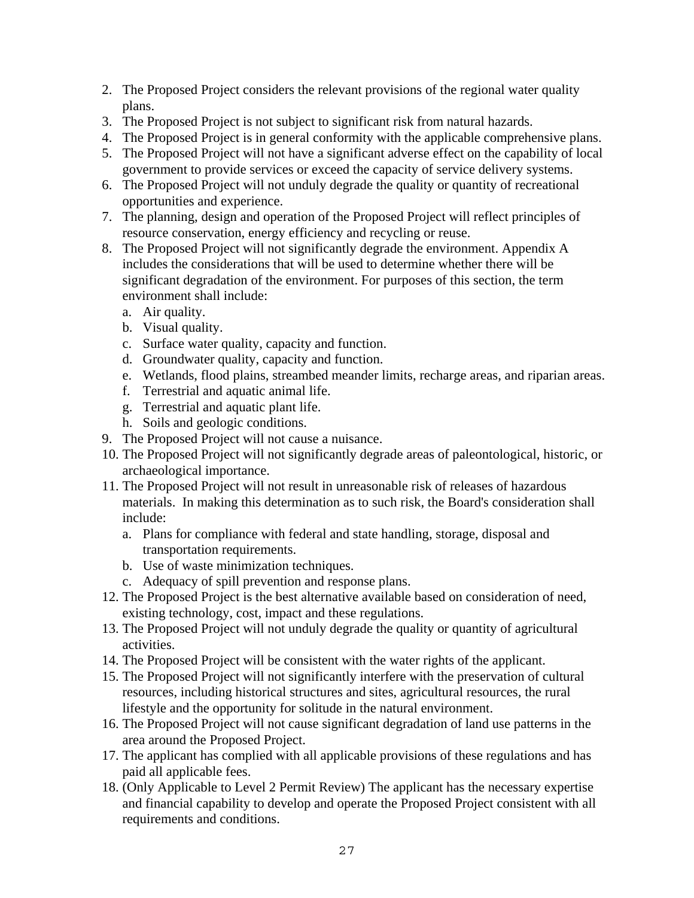- 2. The Proposed Project considers the relevant provisions of the regional water quality plans.
- 3. The Proposed Project is not subject to significant risk from natural hazards.
- 4. The Proposed Project is in general conformity with the applicable comprehensive plans.
- 5. The Proposed Project will not have a significant adverse effect on the capability of local government to provide services or exceed the capacity of service delivery systems.
- 6. The Proposed Project will not unduly degrade the quality or quantity of recreational opportunities and experience.
- 7. The planning, design and operation of the Proposed Project will reflect principles of resource conservation, energy efficiency and recycling or reuse.
- 8. The Proposed Project will not significantly degrade the environment. Appendix A includes the considerations that will be used to determine whether there will be significant degradation of the environment. For purposes of this section, the term environment shall include:
	- a. Air quality.
	- b. Visual quality.
	- c. Surface water quality, capacity and function.
	- d. Groundwater quality, capacity and function.
	- e. Wetlands, flood plains, streambed meander limits, recharge areas, and riparian areas.
	- f. Terrestrial and aquatic animal life.
	- g. Terrestrial and aquatic plant life.
	- h. Soils and geologic conditions.
- 9. The Proposed Project will not cause a nuisance.
- 10. The Proposed Project will not significantly degrade areas of paleontological, historic, or archaeological importance.
- 11. The Proposed Project will not result in unreasonable risk of releases of hazardous materials. In making this determination as to such risk, the Board's consideration shall include:
	- a. Plans for compliance with federal and state handling, storage, disposal and transportation requirements.
	- b. Use of waste minimization techniques.
	- c. Adequacy of spill prevention and response plans.
- 12. The Proposed Project is the best alternative available based on consideration of need, existing technology, cost, impact and these regulations.
- 13. The Proposed Project will not unduly degrade the quality or quantity of agricultural activities.
- 14. The Proposed Project will be consistent with the water rights of the applicant.
- 15. The Proposed Project will not significantly interfere with the preservation of cultural resources, including historical structures and sites, agricultural resources, the rural lifestyle and the opportunity for solitude in the natural environment.
- 16. The Proposed Project will not cause significant degradation of land use patterns in the area around the Proposed Project.
- 17. The applicant has complied with all applicable provisions of these regulations and has paid all applicable fees.
- 18. (Only Applicable to Level 2 Permit Review) The applicant has the necessary expertise and financial capability to develop and operate the Proposed Project consistent with all requirements and conditions.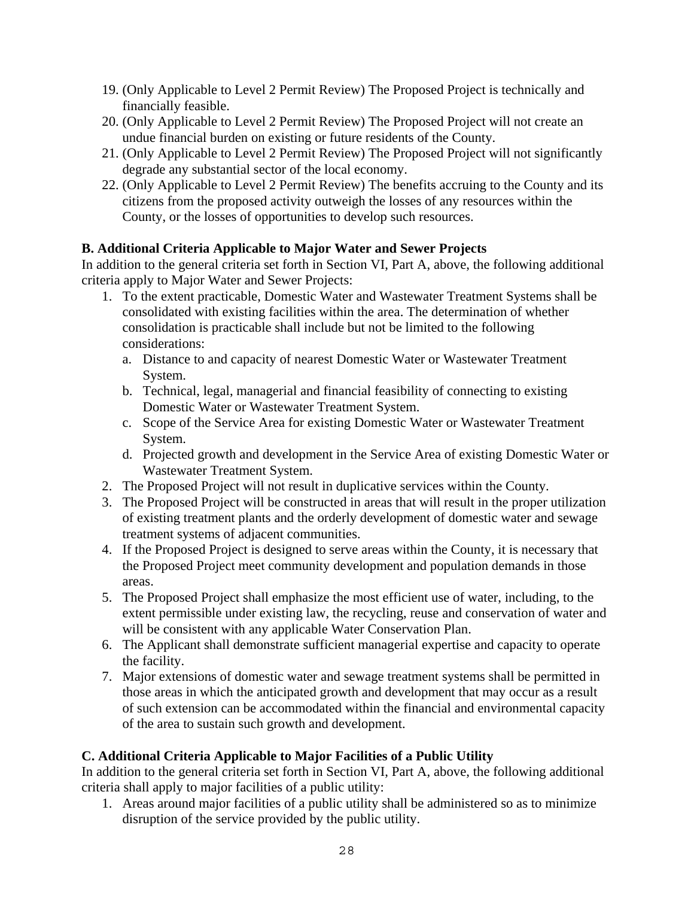- 19. (Only Applicable to Level 2 Permit Review) The Proposed Project is technically and financially feasible.
- 20. (Only Applicable to Level 2 Permit Review) The Proposed Project will not create an undue financial burden on existing or future residents of the County.
- 21. (Only Applicable to Level 2 Permit Review) The Proposed Project will not significantly degrade any substantial sector of the local economy.
- 22. (Only Applicable to Level 2 Permit Review) The benefits accruing to the County and its citizens from the proposed activity outweigh the losses of any resources within the County, or the losses of opportunities to develop such resources.

## **B. Additional Criteria Applicable to Major Water and Sewer Projects**

In addition to the general criteria set forth in Section VI, Part A, above, the following additional criteria apply to Major Water and Sewer Projects:

- 1. To the extent practicable, Domestic Water and Wastewater Treatment Systems shall be consolidated with existing facilities within the area. The determination of whether consolidation is practicable shall include but not be limited to the following considerations:
	- a. Distance to and capacity of nearest Domestic Water or Wastewater Treatment System.
	- b. Technical, legal, managerial and financial feasibility of connecting to existing Domestic Water or Wastewater Treatment System.
	- c. Scope of the Service Area for existing Domestic Water or Wastewater Treatment System.
	- d. Projected growth and development in the Service Area of existing Domestic Water or Wastewater Treatment System.
- 2. The Proposed Project will not result in duplicative services within the County.
- 3. The Proposed Project will be constructed in areas that will result in the proper utilization of existing treatment plants and the orderly development of domestic water and sewage treatment systems of adjacent communities.
- 4. If the Proposed Project is designed to serve areas within the County, it is necessary that the Proposed Project meet community development and population demands in those areas.
- 5. The Proposed Project shall emphasize the most efficient use of water, including, to the extent permissible under existing law, the recycling, reuse and conservation of water and will be consistent with any applicable Water Conservation Plan.
- 6. The Applicant shall demonstrate sufficient managerial expertise and capacity to operate the facility.
- 7. Major extensions of domestic water and sewage treatment systems shall be permitted in those areas in which the anticipated growth and development that may occur as a result of such extension can be accommodated within the financial and environmental capacity of the area to sustain such growth and development.

## **C. Additional Criteria Applicable to Major Facilities of a Public Utility**

In addition to the general criteria set forth in Section VI, Part A, above, the following additional criteria shall apply to major facilities of a public utility:

1. Areas around major facilities of a public utility shall be administered so as to minimize disruption of the service provided by the public utility.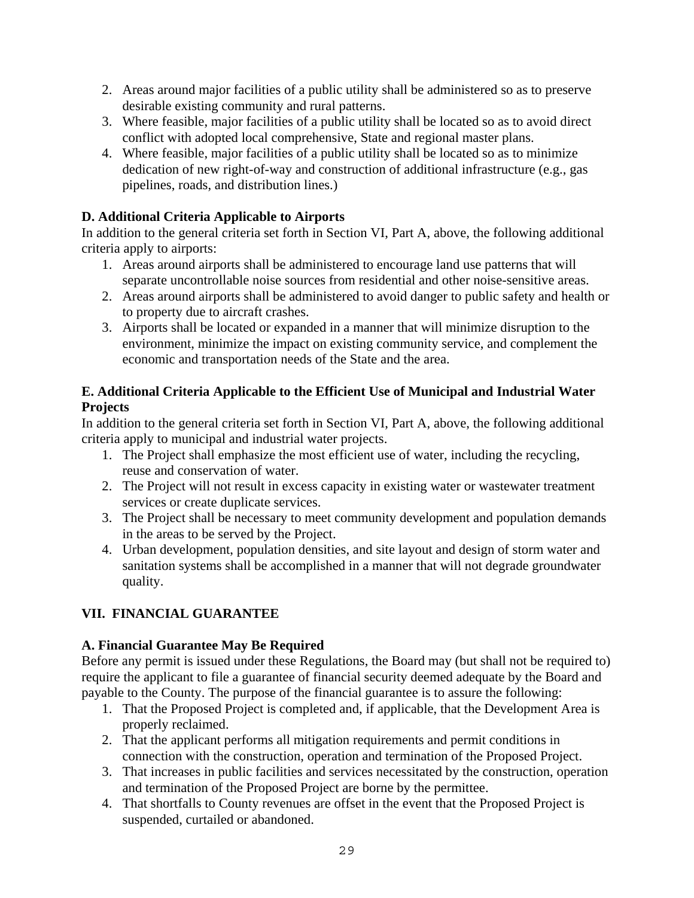- 2. Areas around major facilities of a public utility shall be administered so as to preserve desirable existing community and rural patterns.
- 3. Where feasible, major facilities of a public utility shall be located so as to avoid direct conflict with adopted local comprehensive, State and regional master plans.
- 4. Where feasible, major facilities of a public utility shall be located so as to minimize dedication of new right-of-way and construction of additional infrastructure (e.g., gas pipelines, roads, and distribution lines.)

# **D. Additional Criteria Applicable to Airports**

In addition to the general criteria set forth in Section VI, Part A, above, the following additional criteria apply to airports:

- 1. Areas around airports shall be administered to encourage land use patterns that will separate uncontrollable noise sources from residential and other noise-sensitive areas.
- 2. Areas around airports shall be administered to avoid danger to public safety and health or to property due to aircraft crashes.
- 3. Airports shall be located or expanded in a manner that will minimize disruption to the environment, minimize the impact on existing community service, and complement the economic and transportation needs of the State and the area.

#### **E. Additional Criteria Applicable to the Efficient Use of Municipal and Industrial Water Projects**

In addition to the general criteria set forth in Section VI, Part A, above, the following additional criteria apply to municipal and industrial water projects.

- 1. The Project shall emphasize the most efficient use of water, including the recycling, reuse and conservation of water.
- 2. The Project will not result in excess capacity in existing water or wastewater treatment services or create duplicate services.
- 3. The Project shall be necessary to meet community development and population demands in the areas to be served by the Project.
- 4. Urban development, population densities, and site layout and design of storm water and sanitation systems shall be accomplished in a manner that will not degrade groundwater quality.

# **VII. FINANCIAL GUARANTEE**

## **A. Financial Guarantee May Be Required**

Before any permit is issued under these Regulations, the Board may (but shall not be required to) require the applicant to file a guarantee of financial security deemed adequate by the Board and payable to the County. The purpose of the financial guarantee is to assure the following:

- 1. That the Proposed Project is completed and, if applicable, that the Development Area is properly reclaimed.
- 2. That the applicant performs all mitigation requirements and permit conditions in connection with the construction, operation and termination of the Proposed Project.
- 3. That increases in public facilities and services necessitated by the construction, operation and termination of the Proposed Project are borne by the permittee.
- 4. That shortfalls to County revenues are offset in the event that the Proposed Project is suspended, curtailed or abandoned.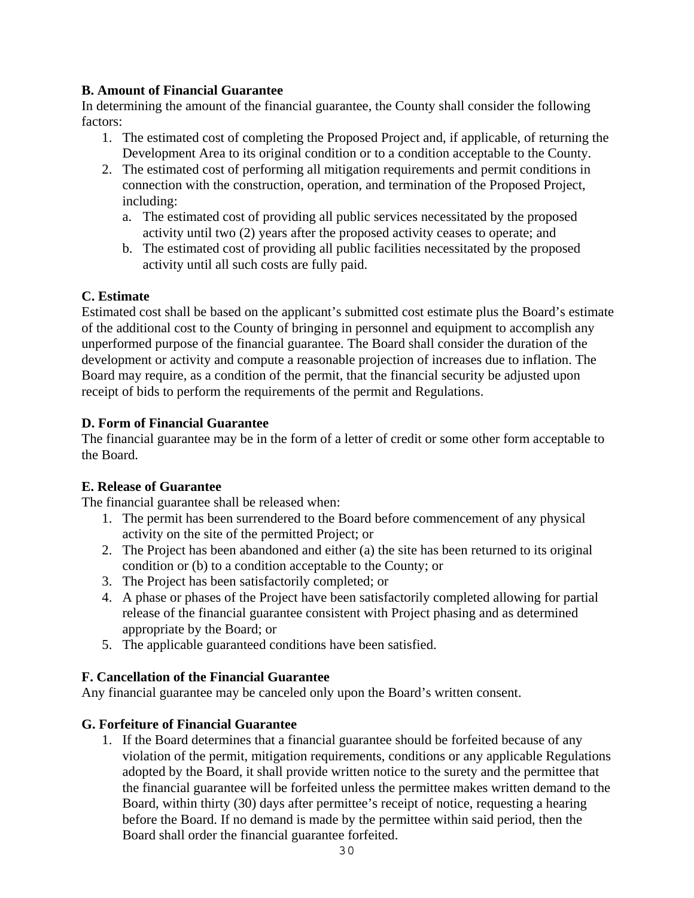#### **B. Amount of Financial Guarantee**

In determining the amount of the financial guarantee, the County shall consider the following factors:

- 1. The estimated cost of completing the Proposed Project and, if applicable, of returning the Development Area to its original condition or to a condition acceptable to the County.
- 2. The estimated cost of performing all mitigation requirements and permit conditions in connection with the construction, operation, and termination of the Proposed Project, including:
	- a. The estimated cost of providing all public services necessitated by the proposed activity until two (2) years after the proposed activity ceases to operate; and
	- b. The estimated cost of providing all public facilities necessitated by the proposed activity until all such costs are fully paid.

#### **C. Estimate**

Estimated cost shall be based on the applicant's submitted cost estimate plus the Board's estimate of the additional cost to the County of bringing in personnel and equipment to accomplish any unperformed purpose of the financial guarantee. The Board shall consider the duration of the development or activity and compute a reasonable projection of increases due to inflation. The Board may require, as a condition of the permit, that the financial security be adjusted upon receipt of bids to perform the requirements of the permit and Regulations.

#### **D. Form of Financial Guarantee**

The financial guarantee may be in the form of a letter of credit or some other form acceptable to the Board.

## **E. Release of Guarantee**

The financial guarantee shall be released when:

- 1. The permit has been surrendered to the Board before commencement of any physical activity on the site of the permitted Project; or
- 2. The Project has been abandoned and either (a) the site has been returned to its original condition or (b) to a condition acceptable to the County; or
- 3. The Project has been satisfactorily completed; or
- 4. A phase or phases of the Project have been satisfactorily completed allowing for partial release of the financial guarantee consistent with Project phasing and as determined appropriate by the Board; or
- 5. The applicable guaranteed conditions have been satisfied.

## **F. Cancellation of the Financial Guarantee**

Any financial guarantee may be canceled only upon the Board's written consent.

## **G. Forfeiture of Financial Guarantee**

1. If the Board determines that a financial guarantee should be forfeited because of any violation of the permit, mitigation requirements, conditions or any applicable Regulations adopted by the Board, it shall provide written notice to the surety and the permittee that the financial guarantee will be forfeited unless the permittee makes written demand to the Board, within thirty (30) days after permittee's receipt of notice, requesting a hearing before the Board. If no demand is made by the permittee within said period, then the Board shall order the financial guarantee forfeited.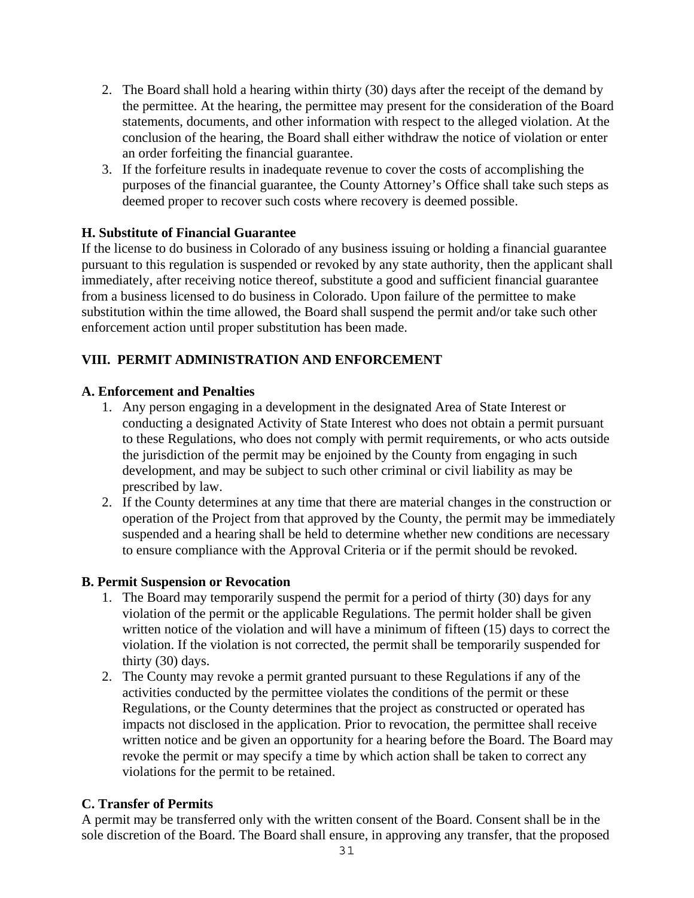- 2. The Board shall hold a hearing within thirty (30) days after the receipt of the demand by the permittee. At the hearing, the permittee may present for the consideration of the Board statements, documents, and other information with respect to the alleged violation. At the conclusion of the hearing, the Board shall either withdraw the notice of violation or enter an order forfeiting the financial guarantee.
- 3. If the forfeiture results in inadequate revenue to cover the costs of accomplishing the purposes of the financial guarantee, the County Attorney's Office shall take such steps as deemed proper to recover such costs where recovery is deemed possible.

#### **H. Substitute of Financial Guarantee**

If the license to do business in Colorado of any business issuing or holding a financial guarantee pursuant to this regulation is suspended or revoked by any state authority, then the applicant shall immediately, after receiving notice thereof, substitute a good and sufficient financial guarantee from a business licensed to do business in Colorado. Upon failure of the permittee to make substitution within the time allowed, the Board shall suspend the permit and/or take such other enforcement action until proper substitution has been made.

## **VIII. PERMIT ADMINISTRATION AND ENFORCEMENT**

#### **A. Enforcement and Penalties**

- 1. Any person engaging in a development in the designated Area of State Interest or conducting a designated Activity of State Interest who does not obtain a permit pursuant to these Regulations, who does not comply with permit requirements, or who acts outside the jurisdiction of the permit may be enjoined by the County from engaging in such development, and may be subject to such other criminal or civil liability as may be prescribed by law.
- 2. If the County determines at any time that there are material changes in the construction or operation of the Project from that approved by the County, the permit may be immediately suspended and a hearing shall be held to determine whether new conditions are necessary to ensure compliance with the Approval Criteria or if the permit should be revoked.

#### **B. Permit Suspension or Revocation**

- 1. The Board may temporarily suspend the permit for a period of thirty (30) days for any violation of the permit or the applicable Regulations. The permit holder shall be given written notice of the violation and will have a minimum of fifteen (15) days to correct the violation. If the violation is not corrected, the permit shall be temporarily suspended for thirty (30) days.
- 2. The County may revoke a permit granted pursuant to these Regulations if any of the activities conducted by the permittee violates the conditions of the permit or these Regulations, or the County determines that the project as constructed or operated has impacts not disclosed in the application. Prior to revocation, the permittee shall receive written notice and be given an opportunity for a hearing before the Board. The Board may revoke the permit or may specify a time by which action shall be taken to correct any violations for the permit to be retained.

#### **C. Transfer of Permits**

A permit may be transferred only with the written consent of the Board. Consent shall be in the sole discretion of the Board. The Board shall ensure, in approving any transfer, that the proposed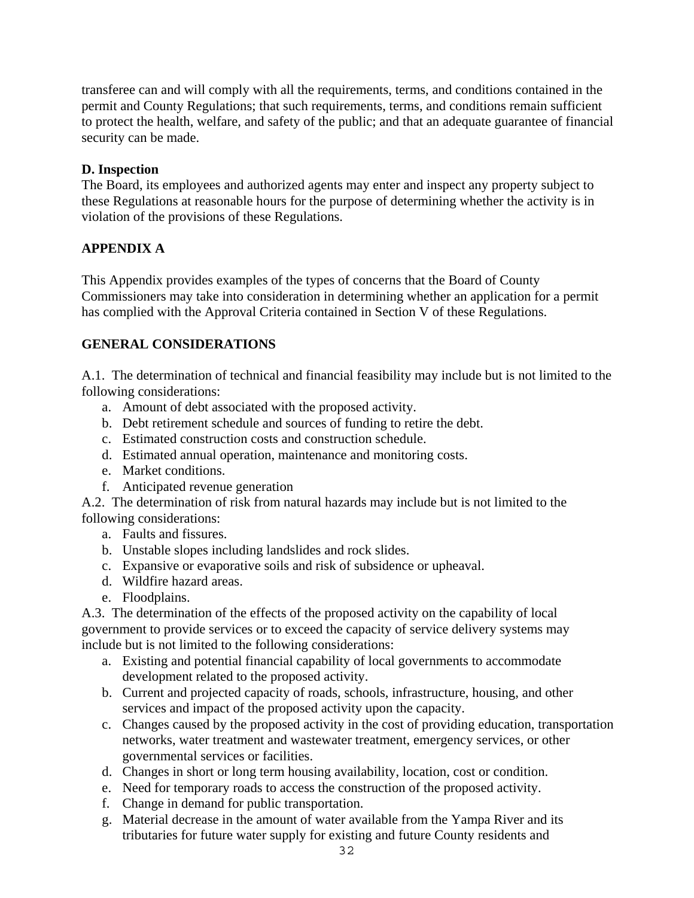transferee can and will comply with all the requirements, terms, and conditions contained in the permit and County Regulations; that such requirements, terms, and conditions remain sufficient to protect the health, welfare, and safety of the public; and that an adequate guarantee of financial security can be made.

## **D. Inspection**

The Board, its employees and authorized agents may enter and inspect any property subject to these Regulations at reasonable hours for the purpose of determining whether the activity is in violation of the provisions of these Regulations.

#### **APPENDIX A**

This Appendix provides examples of the types of concerns that the Board of County Commissioners may take into consideration in determining whether an application for a permit has complied with the Approval Criteria contained in Section V of these Regulations.

#### **GENERAL CONSIDERATIONS**

A.1. The determination of technical and financial feasibility may include but is not limited to the following considerations:

- a. Amount of debt associated with the proposed activity.
- b. Debt retirement schedule and sources of funding to retire the debt.
- c. Estimated construction costs and construction schedule.
- d. Estimated annual operation, maintenance and monitoring costs.
- e. Market conditions.
- f. Anticipated revenue generation

A.2. The determination of risk from natural hazards may include but is not limited to the following considerations:

- a. Faults and fissures.
- b. Unstable slopes including landslides and rock slides.
- c. Expansive or evaporative soils and risk of subsidence or upheaval.
- d. Wildfire hazard areas.
- e. Floodplains.

A.3. The determination of the effects of the proposed activity on the capability of local government to provide services or to exceed the capacity of service delivery systems may include but is not limited to the following considerations:

- a. Existing and potential financial capability of local governments to accommodate development related to the proposed activity.
- b. Current and projected capacity of roads, schools, infrastructure, housing, and other services and impact of the proposed activity upon the capacity.
- c. Changes caused by the proposed activity in the cost of providing education, transportation networks, water treatment and wastewater treatment, emergency services, or other governmental services or facilities.
- d. Changes in short or long term housing availability, location, cost or condition.
- e. Need for temporary roads to access the construction of the proposed activity.
- f. Change in demand for public transportation.
- g. Material decrease in the amount of water available from the Yampa River and its tributaries for future water supply for existing and future County residents and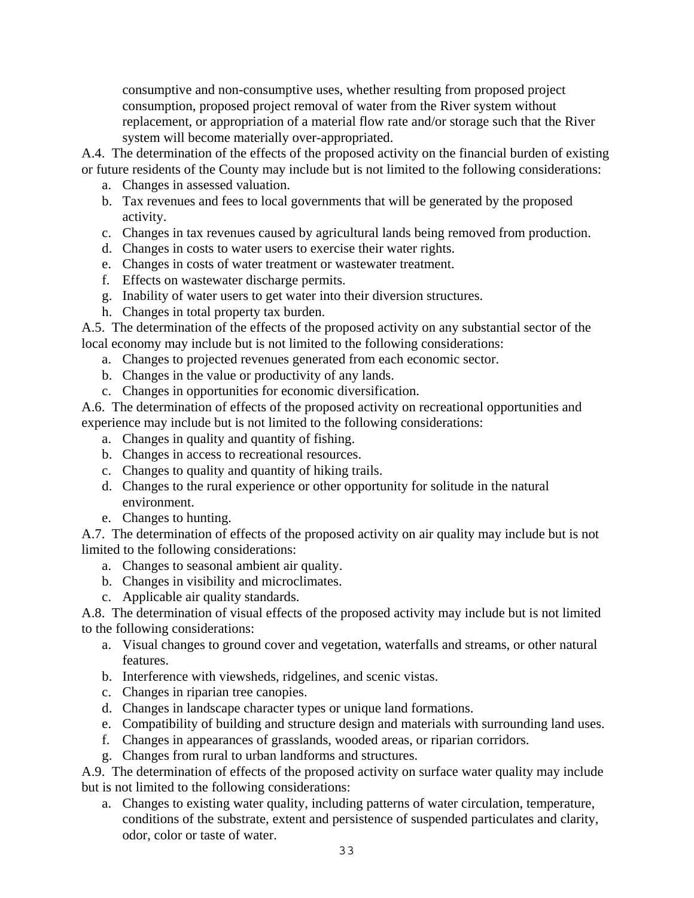consumptive and non-consumptive uses, whether resulting from proposed project consumption, proposed project removal of water from the River system without replacement, or appropriation of a material flow rate and/or storage such that the River system will become materially over-appropriated.

A.4. The determination of the effects of the proposed activity on the financial burden of existing or future residents of the County may include but is not limited to the following considerations:

- a. Changes in assessed valuation.
- b. Tax revenues and fees to local governments that will be generated by the proposed activity.
- c. Changes in tax revenues caused by agricultural lands being removed from production.
- d. Changes in costs to water users to exercise their water rights.
- e. Changes in costs of water treatment or wastewater treatment.
- f. Effects on wastewater discharge permits.
- g. Inability of water users to get water into their diversion structures.
- h. Changes in total property tax burden.

A.5. The determination of the effects of the proposed activity on any substantial sector of the local economy may include but is not limited to the following considerations:

- a. Changes to projected revenues generated from each economic sector.
- b. Changes in the value or productivity of any lands.
- c. Changes in opportunities for economic diversification.

A.6. The determination of effects of the proposed activity on recreational opportunities and experience may include but is not limited to the following considerations:

- a. Changes in quality and quantity of fishing.
- b. Changes in access to recreational resources.
- c. Changes to quality and quantity of hiking trails.
- d. Changes to the rural experience or other opportunity for solitude in the natural environment.
- e. Changes to hunting.

A.7. The determination of effects of the proposed activity on air quality may include but is not limited to the following considerations:

- a. Changes to seasonal ambient air quality.
- b. Changes in visibility and microclimates.
- c. Applicable air quality standards.

A.8. The determination of visual effects of the proposed activity may include but is not limited to the following considerations:

- a. Visual changes to ground cover and vegetation, waterfalls and streams, or other natural features.
- b. Interference with viewsheds, ridgelines, and scenic vistas.
- c. Changes in riparian tree canopies.
- d. Changes in landscape character types or unique land formations.
- e. Compatibility of building and structure design and materials with surrounding land uses.
- f. Changes in appearances of grasslands, wooded areas, or riparian corridors.
- g. Changes from rural to urban landforms and structures.

A.9. The determination of effects of the proposed activity on surface water quality may include but is not limited to the following considerations:

a. Changes to existing water quality, including patterns of water circulation, temperature, conditions of the substrate, extent and persistence of suspended particulates and clarity, odor, color or taste of water.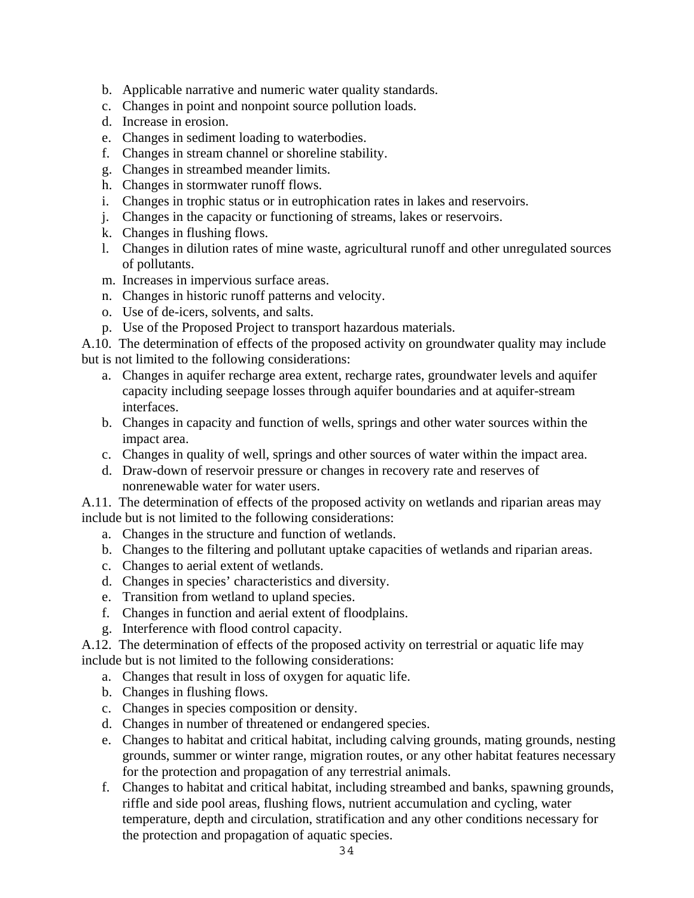- b. Applicable narrative and numeric water quality standards.
- c. Changes in point and nonpoint source pollution loads.
- d. Increase in erosion.
- e. Changes in sediment loading to waterbodies.
- f. Changes in stream channel or shoreline stability.
- g. Changes in streambed meander limits.
- h. Changes in stormwater runoff flows.
- i. Changes in trophic status or in eutrophication rates in lakes and reservoirs.
- j. Changes in the capacity or functioning of streams, lakes or reservoirs.
- k. Changes in flushing flows.
- l. Changes in dilution rates of mine waste, agricultural runoff and other unregulated sources of pollutants.
- m. Increases in impervious surface areas.
- n. Changes in historic runoff patterns and velocity.
- o. Use of de-icers, solvents, and salts.
- p. Use of the Proposed Project to transport hazardous materials.

A.10. The determination of effects of the proposed activity on groundwater quality may include but is not limited to the following considerations:

- a. Changes in aquifer recharge area extent, recharge rates, groundwater levels and aquifer capacity including seepage losses through aquifer boundaries and at aquifer-stream interfaces.
- b. Changes in capacity and function of wells, springs and other water sources within the impact area.
- c. Changes in quality of well, springs and other sources of water within the impact area.
- d. Draw-down of reservoir pressure or changes in recovery rate and reserves of nonrenewable water for water users.

A.11. The determination of effects of the proposed activity on wetlands and riparian areas may include but is not limited to the following considerations:

- a. Changes in the structure and function of wetlands.
- b. Changes to the filtering and pollutant uptake capacities of wetlands and riparian areas.
- c. Changes to aerial extent of wetlands.
- d. Changes in species' characteristics and diversity.
- e. Transition from wetland to upland species.
- f. Changes in function and aerial extent of floodplains.
- g. Interference with flood control capacity.

A.12. The determination of effects of the proposed activity on terrestrial or aquatic life may include but is not limited to the following considerations:

- a. Changes that result in loss of oxygen for aquatic life.
- b. Changes in flushing flows.
- c. Changes in species composition or density.
- d. Changes in number of threatened or endangered species.
- e. Changes to habitat and critical habitat, including calving grounds, mating grounds, nesting grounds, summer or winter range, migration routes, or any other habitat features necessary for the protection and propagation of any terrestrial animals.
- f. Changes to habitat and critical habitat, including streambed and banks, spawning grounds, riffle and side pool areas, flushing flows, nutrient accumulation and cycling, water temperature, depth and circulation, stratification and any other conditions necessary for the protection and propagation of aquatic species.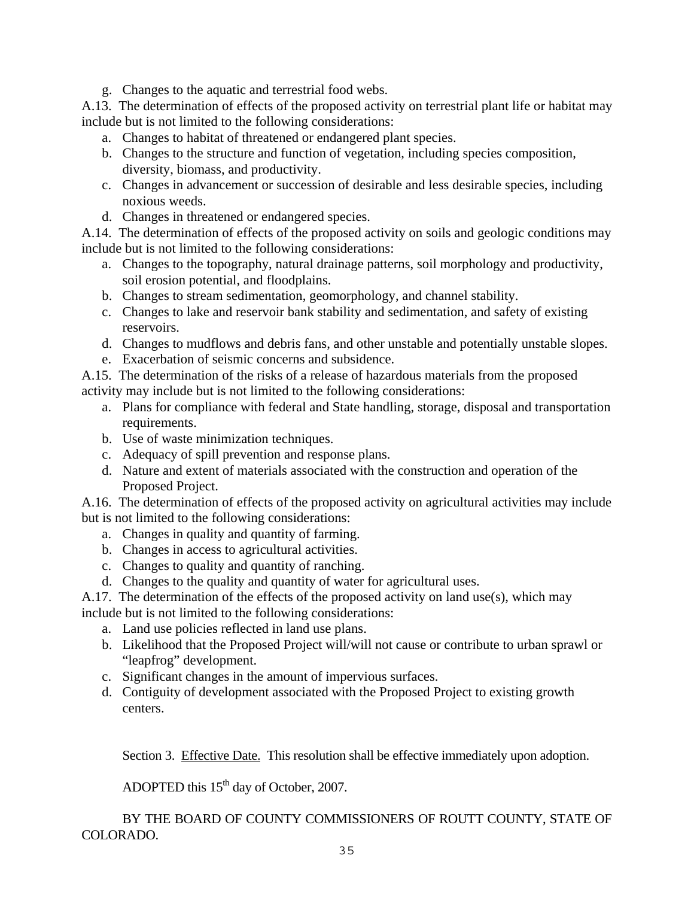g. Changes to the aquatic and terrestrial food webs.

A.13. The determination of effects of the proposed activity on terrestrial plant life or habitat may include but is not limited to the following considerations:

- a. Changes to habitat of threatened or endangered plant species.
- b. Changes to the structure and function of vegetation, including species composition, diversity, biomass, and productivity.
- c. Changes in advancement or succession of desirable and less desirable species, including noxious weeds.
- d. Changes in threatened or endangered species.

A.14. The determination of effects of the proposed activity on soils and geologic conditions may include but is not limited to the following considerations:

- a. Changes to the topography, natural drainage patterns, soil morphology and productivity, soil erosion potential, and floodplains.
- b. Changes to stream sedimentation, geomorphology, and channel stability.
- c. Changes to lake and reservoir bank stability and sedimentation, and safety of existing reservoirs.
- d. Changes to mudflows and debris fans, and other unstable and potentially unstable slopes.
- e. Exacerbation of seismic concerns and subsidence.

A.15. The determination of the risks of a release of hazardous materials from the proposed activity may include but is not limited to the following considerations:

- a. Plans for compliance with federal and State handling, storage, disposal and transportation requirements.
- b. Use of waste minimization techniques.
- c. Adequacy of spill prevention and response plans.
- d. Nature and extent of materials associated with the construction and operation of the Proposed Project.

A.16. The determination of effects of the proposed activity on agricultural activities may include but is not limited to the following considerations:

- a. Changes in quality and quantity of farming.
- b. Changes in access to agricultural activities.
- c. Changes to quality and quantity of ranching.
- d. Changes to the quality and quantity of water for agricultural uses.

A.17. The determination of the effects of the proposed activity on land use(s), which may

- include but is not limited to the following considerations:
	- a. Land use policies reflected in land use plans.
	- b. Likelihood that the Proposed Project will/will not cause or contribute to urban sprawl or "leapfrog" development.
	- c. Significant changes in the amount of impervious surfaces.
	- d. Contiguity of development associated with the Proposed Project to existing growth centers.

Section 3. Effective Date. This resolution shall be effective immediately upon adoption.

ADOPTED this  $15<sup>th</sup>$  day of October, 2007.

 BY THE BOARD OF COUNTY COMMISSIONERS OF ROUTT COUNTY, STATE OF COLORADO.